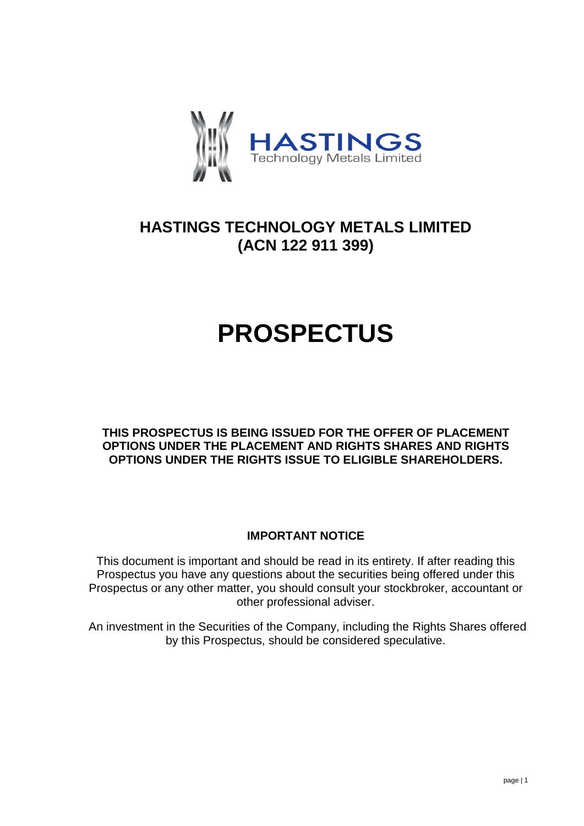

## **HASTINGS TECHNOLOGY METALS LIMITED (ACN 122 911 399)**

# **PROSPECTUS**

**THIS PROSPECTUS IS BEING ISSUED FOR THE OFFER OF PLACEMENT OPTIONS UNDER THE PLACEMENT AND RIGHTS SHARES AND RIGHTS OPTIONS UNDER THE RIGHTS ISSUE TO ELIGIBLE SHAREHOLDERS.** 

### **IMPORTANT NOTICE**

This document is important and should be read in its entirety. If after reading this Prospectus you have any questions about the securities being offered under this Prospectus or any other matter, you should consult your stockbroker, accountant or other professional adviser.

An investment in the Securities of the Company, including the Rights Shares offered by this Prospectus, should be considered speculative.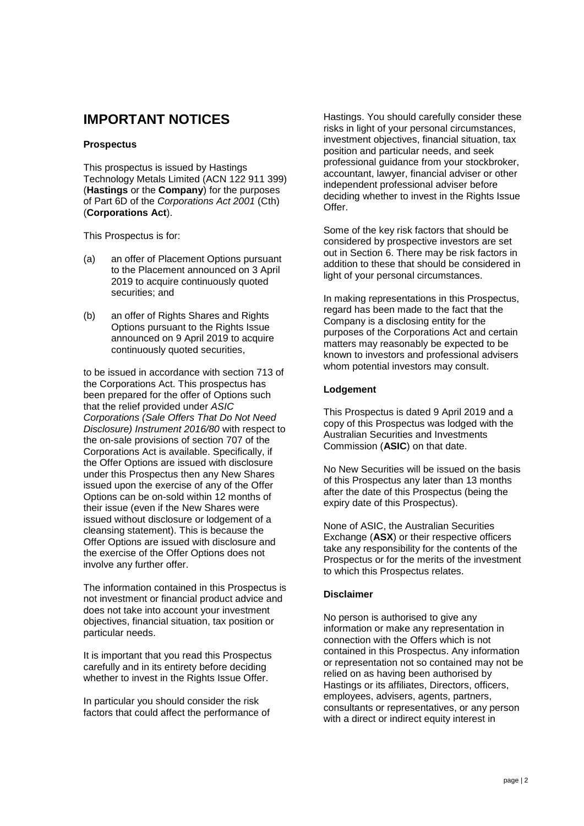### **IMPORTANT NOTICES**

#### **Prospectus**

This prospectus is issued by Hastings Technology Metals Limited (ACN 122 911 399) (**Hastings** or the **Company**) for the purposes of Part 6D of the *Corporations Act 2001* (Cth) (**Corporations Act**).

This Prospectus is for:

- (a) an offer of Placement Options pursuant to the Placement announced on 3 April 2019 to acquire continuously quoted securities; and
- (b) an offer of Rights Shares and Rights Options pursuant to the Rights Issue announced on 9 April 2019 to acquire continuously quoted securities,

to be issued in accordance with section 713 of the Corporations Act. This prospectus has been prepared for the offer of Options such that the relief provided under *ASIC Corporations (Sale Offers That Do Not Need Disclosure) Instrument 2016/80* with respect to the on-sale provisions of section 707 of the Corporations Act is available. Specifically, if the Offer Options are issued with disclosure under this Prospectus then any New Shares issued upon the exercise of any of the Offer Options can be on-sold within 12 months of their issue (even if the New Shares were issued without disclosure or lodgement of a cleansing statement). This is because the Offer Options are issued with disclosure and the exercise of the Offer Options does not involve any further offer.

The information contained in this Prospectus is not investment or financial product advice and does not take into account your investment objectives, financial situation, tax position or particular needs.

It is important that you read this Prospectus carefully and in its entirety before deciding whether to invest in the Rights Issue Offer.

In particular you should consider the risk factors that could affect the performance of Hastings. You should carefully consider these risks in light of your personal circumstances, investment objectives, financial situation, tax position and particular needs, and seek professional guidance from your stockbroker, accountant, lawyer, financial adviser or other independent professional adviser before deciding whether to invest in the Rights Issue Offer.

Some of the key risk factors that should be considered by prospective investors are set out in Section [6.](#page-26-0) There may be risk factors in addition to these that should be considered in light of your personal circumstances.

In making representations in this Prospectus, regard has been made to the fact that the Company is a disclosing entity for the purposes of the Corporations Act and certain matters may reasonably be expected to be known to investors and professional advisers whom potential investors may consult.

#### **Lodgement**

This Prospectus is dated 9 April 2019 and a copy of this Prospectus was lodged with the Australian Securities and Investments Commission (**ASIC**) on that date.

No New Securities will be issued on the basis of this Prospectus any later than 13 months after the date of this Prospectus (being the expiry date of this Prospectus).

None of ASIC, the Australian Securities Exchange (**ASX**) or their respective officers take any responsibility for the contents of the Prospectus or for the merits of the investment to which this Prospectus relates.

#### **Disclaimer**

No person is authorised to give any information or make any representation in connection with the Offers which is not contained in this Prospectus. Any information or representation not so contained may not be relied on as having been authorised by Hastings or its affiliates, Directors, officers, employees, advisers, agents, partners, consultants or representatives, or any person with a direct or indirect equity interest in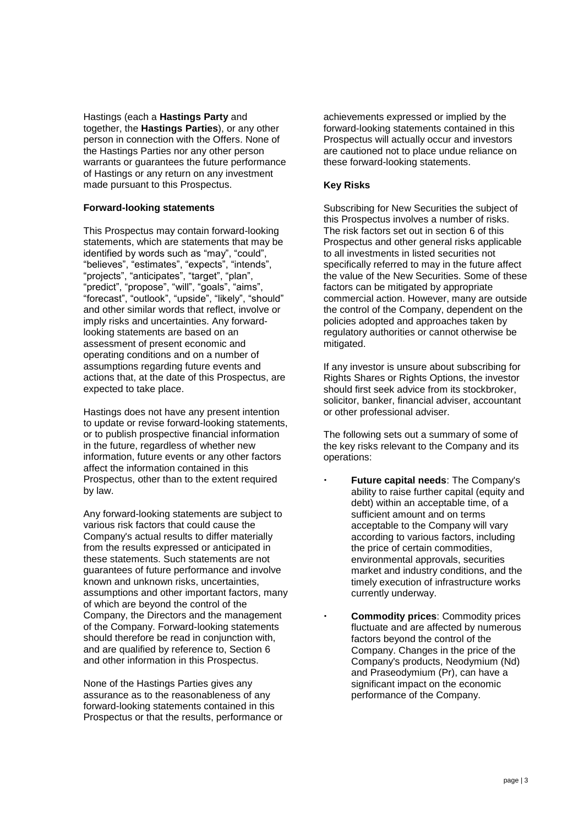Hastings (each a **Hastings Party** and together, the **Hastings Parties**), or any other person in connection with the Offers. None of the Hastings Parties nor any other person warrants or guarantees the future performance of Hastings or any return on any investment made pursuant to this Prospectus.

#### **Forward-looking statements**

This Prospectus may contain forward-looking statements, which are statements that may be identified by words such as "may", "could", "believes", "estimates", "expects", "intends", "projects", "anticipates", "target", "plan", "predict", "propose", "will", "goals", "aims", "forecast", "outlook", "upside", "likely", "should" and other similar words that reflect, involve or imply risks and uncertainties. Any forwardlooking statements are based on an assessment of present economic and operating conditions and on a number of assumptions regarding future events and actions that, at the date of this Prospectus, are expected to take place.

Hastings does not have any present intention to update or revise forward-looking statements, or to publish prospective financial information in the future, regardless of whether new information, future events or any other factors affect the information contained in this Prospectus, other than to the extent required by law.

Any forward-looking statements are subject to various risk factors that could cause the Company's actual results to differ materially from the results expressed or anticipated in these statements. Such statements are not guarantees of future performance and involve known and unknown risks, uncertainties, assumptions and other important factors, many of which are beyond the control of the Company, the Directors and the management of the Company. Forward-looking statements should therefore be read in conjunction with, and are qualified by reference to, Section 6 and other information in this Prospectus.

None of the Hastings Parties gives any assurance as to the reasonableness of any forward-looking statements contained in this Prospectus or that the results, performance or achievements expressed or implied by the forward-looking statements contained in this Prospectus will actually occur and investors are cautioned not to place undue reliance on these forward-looking statements.

#### **Key Risks**

Subscribing for New Securities the subject of this Prospectus involves a number of risks. The risk factors set out in section 6 of this Prospectus and other general risks applicable to all investments in listed securities not specifically referred to may in the future affect the value of the New Securities. Some of these factors can be mitigated by appropriate commercial action. However, many are outside the control of the Company, dependent on the policies adopted and approaches taken by regulatory authorities or cannot otherwise be mitigated.

If any investor is unsure about subscribing for Rights Shares or Rights Options, the investor should first seek advice from its stockbroker, solicitor, banker, financial adviser, accountant or other professional adviser.

The following sets out a summary of some of the key risks relevant to the Company and its operations:

- **Future capital needs**: The Company's ability to raise further capital (equity and debt) within an acceptable time, of a sufficient amount and on terms acceptable to the Company will vary according to various factors, including the price of certain commodities, environmental approvals, securities market and industry conditions, and the timely execution of infrastructure works currently underway.
- **Commodity prices**: Commodity prices fluctuate and are affected by numerous factors beyond the control of the Company. Changes in the price of the Company's products, Neodymium (Nd) and Praseodymium (Pr), can have a significant impact on the economic performance of the Company.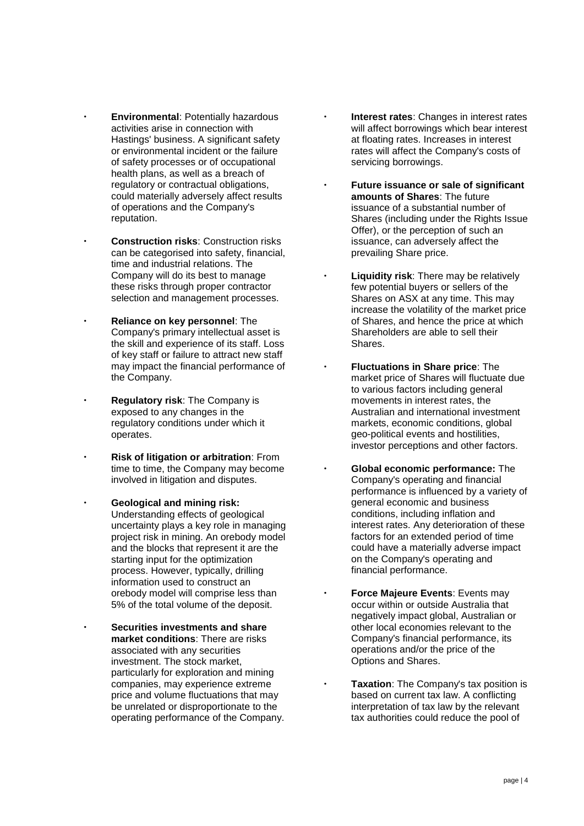- **Environmental**: Potentially hazardous activities arise in connection with Hastings' business. A significant safety or environmental incident or the failure of safety processes or of occupational health plans, as well as a breach of regulatory or contractual obligations, could materially adversely affect results of operations and the Company's reputation.
- **Construction risks**: Construction risks can be categorised into safety, financial, time and industrial relations. The Company will do its best to manage these risks through proper contractor selection and management processes.
- **Reliance on key personnel**: The Company's primary intellectual asset is the skill and experience of its staff. Loss of key staff or failure to attract new staff may impact the financial performance of the Company.
- **Regulatory risk**: The Company is exposed to any changes in the regulatory conditions under which it operates.
- **Risk of litigation or arbitration**: From time to time, the Company may become involved in litigation and disputes.
- **Geological and mining risk:**  Understanding effects of geological uncertainty plays a key role in managing project risk in mining. An orebody model and the blocks that represent it are the starting input for the optimization process. However, typically, drilling information used to construct an orebody model will comprise less than 5% of the total volume of the deposit.
	- **Securities investments and share market conditions**: There are risks associated with any securities investment. The stock market, particularly for exploration and mining companies, may experience extreme price and volume fluctuations that may be unrelated or disproportionate to the operating performance of the Company.
- **Interest rates**: Changes in interest rates will affect borrowings which bear interest at floating rates. Increases in interest rates will affect the Company's costs of servicing borrowings.
- **Future issuance or sale of significant amounts of Shares**: The future issuance of a substantial number of Shares (including under the Rights Issue Offer), or the perception of such an issuance, can adversely affect the prevailing Share price.
- **Liquidity risk**: There may be relatively few potential buyers or sellers of the Shares on ASX at any time. This may increase the volatility of the market price of Shares, and hence the price at which Shareholders are able to sell their Shares.
- **Fluctuations in Share price**: The market price of Shares will fluctuate due to various factors including general movements in interest rates, the Australian and international investment markets, economic conditions, global geo-political events and hostilities, investor perceptions and other factors.
- **Global economic performance:** The Company's operating and financial performance is influenced by a variety of general economic and business conditions, including inflation and interest rates. Any deterioration of these factors for an extended period of time could have a materially adverse impact on the Company's operating and financial performance.
- **Force Majeure Events**: Events may occur within or outside Australia that negatively impact global, Australian or other local economies relevant to the Company's financial performance, its operations and/or the price of the Options and Shares.
- **Taxation**: The Company's tax position is based on current tax law. A conflicting interpretation of tax law by the relevant tax authorities could reduce the pool of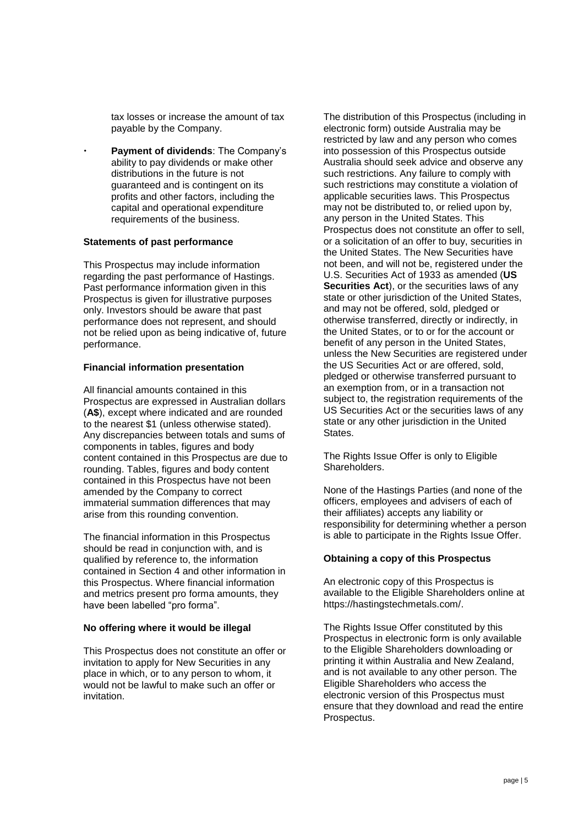tax losses or increase the amount of tax payable by the Company.

 **Payment of dividends**: The Company's ability to pay dividends or make other distributions in the future is not guaranteed and is contingent on its profits and other factors, including the capital and operational expenditure requirements of the business.

#### **Statements of past performance**

This Prospectus may include information regarding the past performance of Hastings. Past performance information given in this Prospectus is given for illustrative purposes only. Investors should be aware that past performance does not represent, and should not be relied upon as being indicative of, future performance.

#### **Financial information presentation**

All financial amounts contained in this Prospectus are expressed in Australian dollars (**A\$**), except where indicated and are rounded to the nearest \$1 (unless otherwise stated). Any discrepancies between totals and sums of components in tables, figures and body content contained in this Prospectus are due to rounding. Tables, figures and body content contained in this Prospectus have not been amended by the Company to correct immaterial summation differences that may arise from this rounding convention.

The financial information in this Prospectus should be read in conjunction with, and is qualified by reference to, the information contained in Section 4 and other information in this Prospectus. Where financial information and metrics present pro forma amounts, they have been labelled "pro forma".

#### **No offering where it would be illegal**

This Prospectus does not constitute an offer or invitation to apply for New Securities in any place in which, or to any person to whom, it would not be lawful to make such an offer or invitation.

The distribution of this Prospectus (including in electronic form) outside Australia may be restricted by law and any person who comes into possession of this Prospectus outside Australia should seek advice and observe any such restrictions. Any failure to comply with such restrictions may constitute a violation of applicable securities laws. This Prospectus may not be distributed to, or relied upon by, any person in the United States. This Prospectus does not constitute an offer to sell, or a solicitation of an offer to buy, securities in the United States. The New Securities have not been, and will not be, registered under the U.S. Securities Act of 1933 as amended (**US Securities Act**), or the securities laws of any state or other jurisdiction of the United States, and may not be offered, sold, pledged or otherwise transferred, directly or indirectly, in the United States, or to or for the account or benefit of any person in the United States, unless the New Securities are registered under the US Securities Act or are offered, sold, pledged or otherwise transferred pursuant to an exemption from, or in a transaction not subject to, the registration requirements of the US Securities Act or the securities laws of any state or any other jurisdiction in the United States.

The Rights Issue Offer is only to Eligible Shareholders.

None of the Hastings Parties (and none of the officers, employees and advisers of each of their affiliates) accepts any liability or responsibility for determining whether a person is able to participate in the Rights Issue Offer.

#### **Obtaining a copy of this Prospectus**

An electronic copy of this Prospectus is available to the Eligible Shareholders online at https://hastingstechmetals.com/.

The Rights Issue Offer constituted by this Prospectus in electronic form is only available to the Eligible Shareholders downloading or printing it within Australia and New Zealand, and is not available to any other person. The Eligible Shareholders who access the electronic version of this Prospectus must ensure that they download and read the entire Prospectus.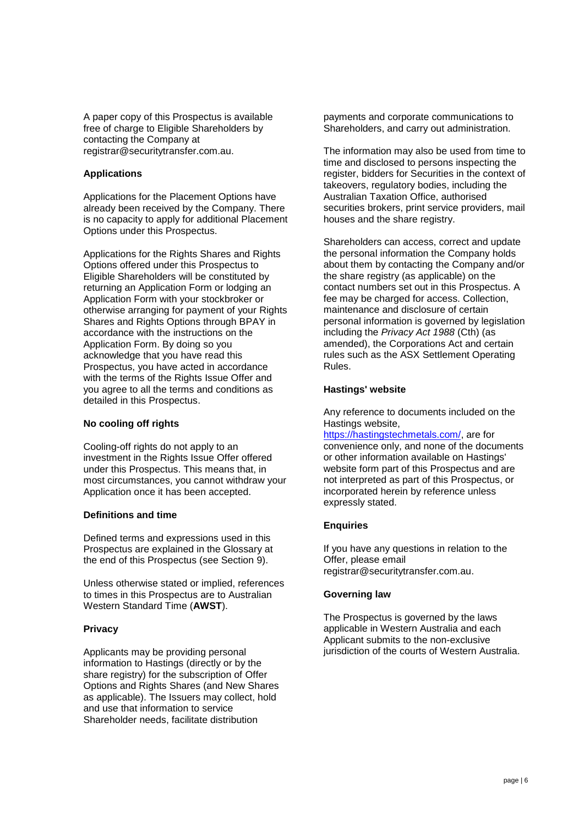A paper copy of this Prospectus is available free of charge to Eligible Shareholders by contacting the Company at registrar@securitytransfer.com.au.

#### **Applications**

Applications for the Placement Options have already been received by the Company. There is no capacity to apply for additional Placement Options under this Prospectus.

Applications for the Rights Shares and Rights Options offered under this Prospectus to Eligible Shareholders will be constituted by returning an Application Form or lodging an Application Form with your stockbroker or otherwise arranging for payment of your Rights Shares and Rights Options through BPAY in accordance with the instructions on the Application Form. By doing so you acknowledge that you have read this Prospectus, you have acted in accordance with the terms of the Rights Issue Offer and you agree to all the terms and conditions as detailed in this Prospectus.

#### **No cooling off rights**

Cooling-off rights do not apply to an investment in the Rights Issue Offer offered under this Prospectus. This means that, in most circumstances, you cannot withdraw your Application once it has been accepted.

#### **Definitions and time**

Defined terms and expressions used in this Prospectus are explained in the Glossary at the end of this Prospectus (see Section [9\)](#page-40-0).

Unless otherwise stated or implied, references to times in this Prospectus are to Australian Western Standard Time (**AWST**).

#### **Privacy**

Applicants may be providing personal information to Hastings (directly or by the share registry) for the subscription of Offer Options and Rights Shares (and New Shares as applicable). The Issuers may collect, hold and use that information to service Shareholder needs, facilitate distribution

payments and corporate communications to Shareholders, and carry out administration.

The information may also be used from time to time and disclosed to persons inspecting the register, bidders for Securities in the context of takeovers, regulatory bodies, including the Australian Taxation Office, authorised securities brokers, print service providers, mail houses and the share registry.

Shareholders can access, correct and update the personal information the Company holds about them by contacting the Company and/or the share registry (as applicable) on the contact numbers set out in this Prospectus. A fee may be charged for access. Collection, maintenance and disclosure of certain personal information is governed by legislation including the *Privacy Act 1988* (Cth) (as amended), the Corporations Act and certain rules such as the ASX Settlement Operating Rules.

#### **Hastings' website**

Any reference to documents included on the Hastings website,

https://hastingstechmetals.com/, are for convenience only, and none of the documents or other information available on Hastings' website form part of this Prospectus and are not interpreted as part of this Prospectus, or incorporated herein by reference unless expressly stated.

#### **Enquiries**

If you have any questions in relation to the Offer, please email registrar@securitytransfer.com.au.

#### **Governing law**

The Prospectus is governed by the laws applicable in Western Australia and each Applicant submits to the non-exclusive jurisdiction of the courts of Western Australia.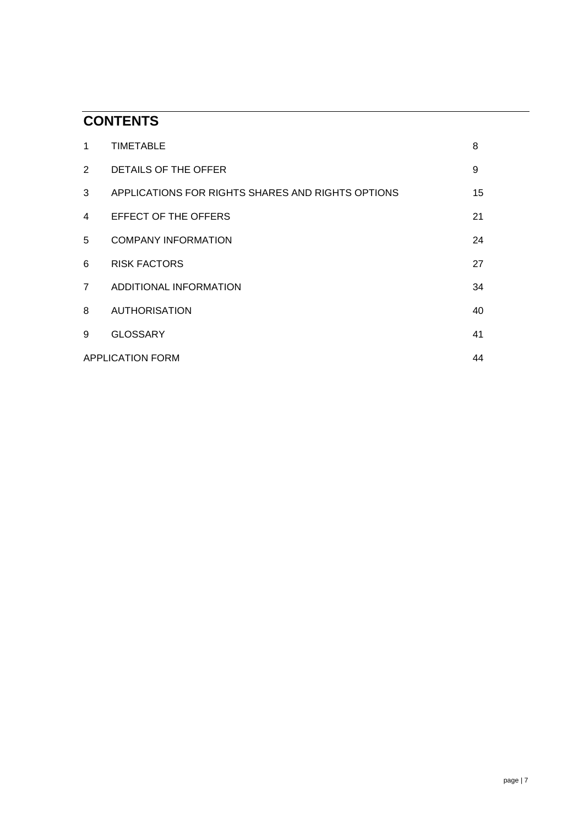## **CONTENTS**

| 1              | <b>TIMETABLE</b>                                  | 8  |
|----------------|---------------------------------------------------|----|
| $2^{\circ}$    | DETAILS OF THE OFFER                              | 9  |
| 3              | APPLICATIONS FOR RIGHTS SHARES AND RIGHTS OPTIONS | 15 |
| 4              | <b>EFFECT OF THE OFFERS</b>                       | 21 |
| 5              | <b>COMPANY INFORMATION</b>                        | 24 |
| 6              | <b>RISK FACTORS</b>                               | 27 |
| $\overline{7}$ | ADDITIONAL INFORMATION                            | 34 |
| 8              | <b>AUTHORISATION</b>                              | 40 |
| 9              | <b>GLOSSARY</b>                                   | 41 |
|                | <b>APPLICATION FORM</b>                           | 44 |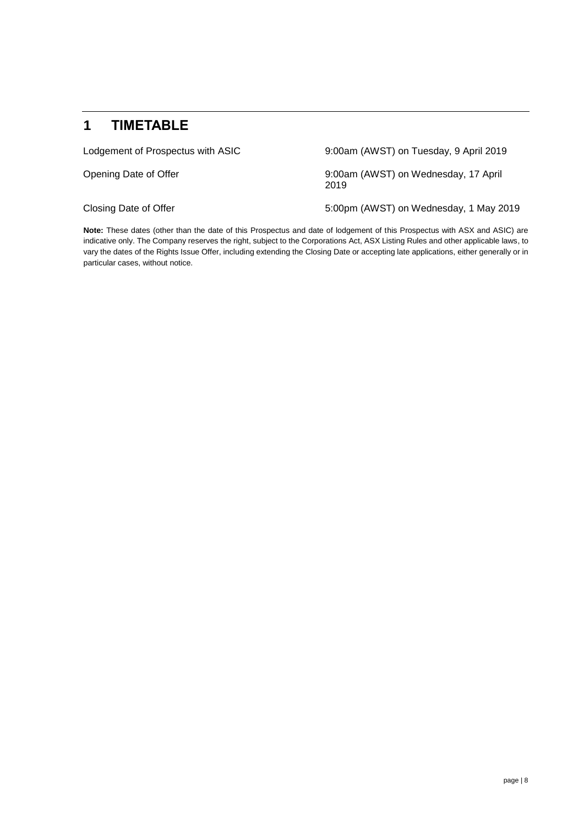### **1 TIMETABLE**

Lodgement of Prospectus with ASIC 9:00am (AWST) on Tuesday, 9 April 2019

Opening Date of Offer 9:00am (AWST) on Wednesday, 17 April 2019

Closing Date of Offer The Studies of Closing Date of Offer The Studies of AWST) on Wednesday, 1 May 2019

**Note:** These dates (other than the date of this Prospectus and date of lodgement of this Prospectus with ASX and ASIC) are indicative only. The Company reserves the right, subject to the Corporations Act, ASX Listing Rules and other applicable laws, to vary the dates of the Rights Issue Offer, including extending the Closing Date or accepting late applications, either generally or in particular cases, without notice.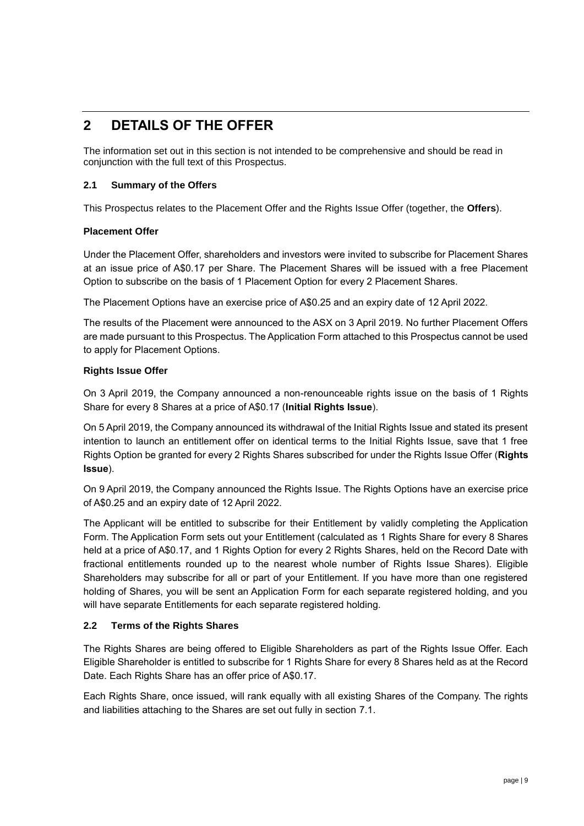### **2 DETAILS OF THE OFFER**

The information set out in this section is not intended to be comprehensive and should be read in conjunction with the full text of this Prospectus.

#### **2.1 Summary of the Offers**

This Prospectus relates to the Placement Offer and the Rights Issue Offer (together, the **Offers**).

#### **Placement Offer**

Under the Placement Offer, shareholders and investors were invited to subscribe for Placement Shares at an issue price of A\$0.17 per Share. The Placement Shares will be issued with a free Placement Option to subscribe on the basis of 1 Placement Option for every 2 Placement Shares.

The Placement Options have an exercise price of A\$0.25 and an expiry date of 12 April 2022.

The results of the Placement were announced to the ASX on 3 April 2019. No further Placement Offers are made pursuant to this Prospectus. The Application Form attached to this Prospectus cannot be used to apply for Placement Options.

#### **Rights Issue Offer**

On 3 April 2019, the Company announced a non-renounceable rights issue on the basis of 1 Rights Share for every 8 Shares at a price of A\$0.17 (**Initial Rights Issue**).

On 5 April 2019, the Company announced its withdrawal of the Initial Rights Issue and stated its present intention to launch an entitlement offer on identical terms to the Initial Rights Issue, save that 1 free Rights Option be granted for every 2 Rights Shares subscribed for under the Rights Issue Offer (**Rights Issue**).

On 9 April 2019, the Company announced the Rights Issue. The Rights Options have an exercise price of A\$0.25 and an expiry date of 12 April 2022.

The Applicant will be entitled to subscribe for their Entitlement by validly completing the Application Form. The Application Form sets out your Entitlement (calculated as 1 Rights Share for every 8 Shares held at a price of A\$0.17, and 1 Rights Option for every 2 Rights Shares, held on the Record Date with fractional entitlements rounded up to the nearest whole number of Rights Issue Shares). Eligible Shareholders may subscribe for all or part of your Entitlement. If you have more than one registered holding of Shares, you will be sent an Application Form for each separate registered holding, and you will have separate Entitlements for each separate registered holding.

#### **2.2 Terms of the Rights Shares**

The Rights Shares are being offered to Eligible Shareholders as part of the Rights Issue Offer. Each Eligible Shareholder is entitled to subscribe for 1 Rights Share for every 8 Shares held as at the Record Date. Each Rights Share has an offer price of A\$0.17.

Each Rights Share, once issued, will rank equally with all existing Shares of the Company. The rights and liabilities attaching to the Shares are set out fully in section [7.1.](#page-33-0)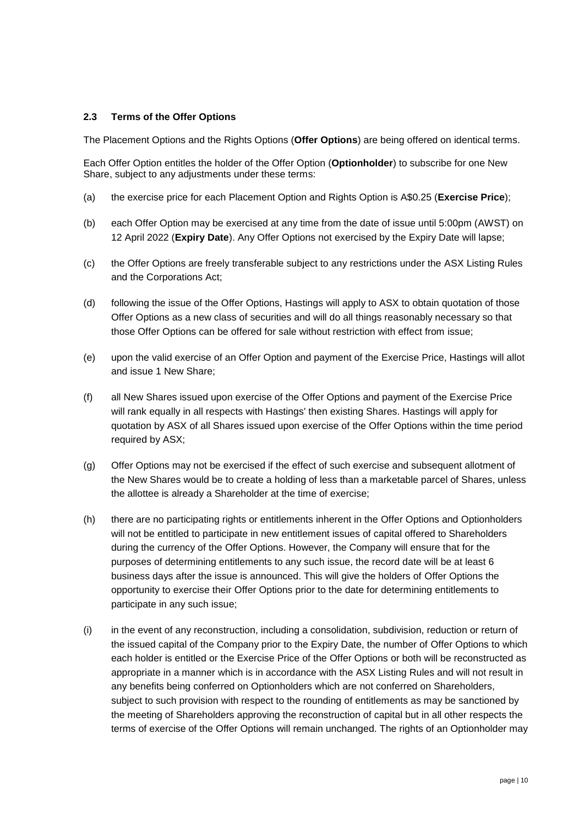#### **2.3 Terms of the Offer Options**

The Placement Options and the Rights Options (**Offer Options**) are being offered on identical terms.

Each Offer Option entitles the holder of the Offer Option (**Optionholder**) to subscribe for one New Share, subject to any adjustments under these terms:

- (a) the exercise price for each Placement Option and Rights Option is A\$0.25 (**Exercise Price**);
- (b) each Offer Option may be exercised at any time from the date of issue until 5:00pm (AWST) on 12 April 2022 (**Expiry Date**). Any Offer Options not exercised by the Expiry Date will lapse;
- (c) the Offer Options are freely transferable subject to any restrictions under the ASX Listing Rules and the Corporations Act;
- (d) following the issue of the Offer Options, Hastings will apply to ASX to obtain quotation of those Offer Options as a new class of securities and will do all things reasonably necessary so that those Offer Options can be offered for sale without restriction with effect from issue;
- (e) upon the valid exercise of an Offer Option and payment of the Exercise Price, Hastings will allot and issue 1 New Share;
- (f) all New Shares issued upon exercise of the Offer Options and payment of the Exercise Price will rank equally in all respects with Hastings' then existing Shares. Hastings will apply for quotation by ASX of all Shares issued upon exercise of the Offer Options within the time period required by ASX;
- (g) Offer Options may not be exercised if the effect of such exercise and subsequent allotment of the New Shares would be to create a holding of less than a marketable parcel of Shares, unless the allottee is already a Shareholder at the time of exercise;
- (h) there are no participating rights or entitlements inherent in the Offer Options and Optionholders will not be entitled to participate in new entitlement issues of capital offered to Shareholders during the currency of the Offer Options. However, the Company will ensure that for the purposes of determining entitlements to any such issue, the record date will be at least 6 business days after the issue is announced. This will give the holders of Offer Options the opportunity to exercise their Offer Options prior to the date for determining entitlements to participate in any such issue;
- (i) in the event of any reconstruction, including a consolidation, subdivision, reduction or return of the issued capital of the Company prior to the Expiry Date, the number of Offer Options to which each holder is entitled or the Exercise Price of the Offer Options or both will be reconstructed as appropriate in a manner which is in accordance with the ASX Listing Rules and will not result in any benefits being conferred on Optionholders which are not conferred on Shareholders, subject to such provision with respect to the rounding of entitlements as may be sanctioned by the meeting of Shareholders approving the reconstruction of capital but in all other respects the terms of exercise of the Offer Options will remain unchanged. The rights of an Optionholder may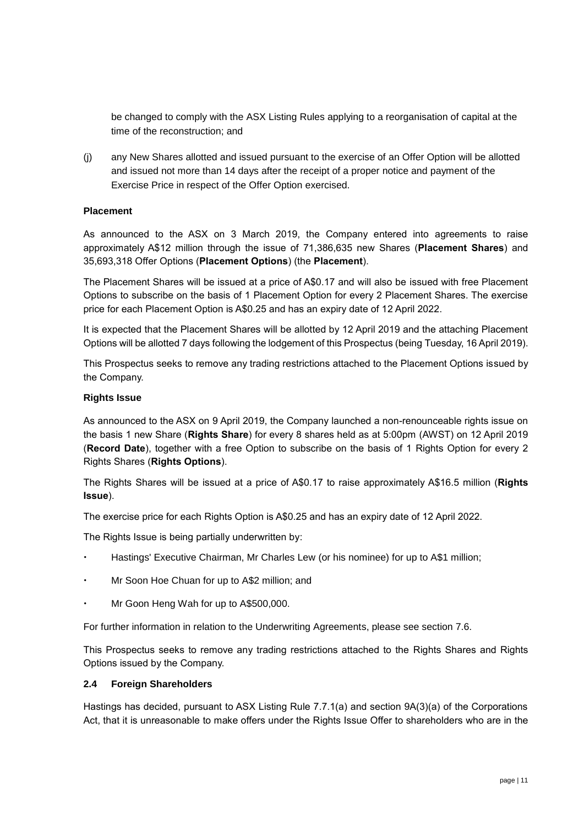be changed to comply with the ASX Listing Rules applying to a reorganisation of capital at the time of the reconstruction; and

(j) any New Shares allotted and issued pursuant to the exercise of an Offer Option will be allotted and issued not more than 14 days after the receipt of a proper notice and payment of the Exercise Price in respect of the Offer Option exercised.

#### **Placement**

As announced to the ASX on 3 March 2019, the Company entered into agreements to raise approximately A\$12 million through the issue of 71,386,635 new Shares (**Placement Shares**) and 35,693,318 Offer Options (**Placement Options**) (the **Placement**).

The Placement Shares will be issued at a price of A\$0.17 and will also be issued with free Placement Options to subscribe on the basis of 1 Placement Option for every 2 Placement Shares. The exercise price for each Placement Option is A\$0.25 and has an expiry date of 12 April 2022.

It is expected that the Placement Shares will be allotted by 12 April 2019 and the attaching Placement Options will be allotted 7 days following the lodgement of this Prospectus (being Tuesday, 16 April 2019).

This Prospectus seeks to remove any trading restrictions attached to the Placement Options issued by the Company.

#### **Rights Issue**

As announced to the ASX on 9 April 2019, the Company launched a non-renounceable rights issue on the basis 1 new Share (**Rights Share**) for every 8 shares held as at 5:00pm (AWST) on 12 April 2019 (**Record Date**), together with a free Option to subscribe on the basis of 1 Rights Option for every 2 Rights Shares (**Rights Options**).

The Rights Shares will be issued at a price of A\$0.17 to raise approximately A\$16.5 million (**Rights Issue**).

The exercise price for each Rights Option is A\$0.25 and has an expiry date of 12 April 2022.

The Rights Issue is being partially underwritten by:

- Hastings' Executive Chairman, Mr Charles Lew (or his nominee) for up to A\$1 million;
- Mr Soon Hoe Chuan for up to A\$2 million; and
- Mr Goon Heng Wah for up to A\$500,000.

For further information in relation to the Underwriting Agreements, please see section 7.6.

This Prospectus seeks to remove any trading restrictions attached to the Rights Shares and Rights Options issued by the Company.

#### **2.4 Foreign Shareholders**

Hastings has decided, pursuant to ASX Listing Rule 7.7.1(a) and section 9A(3)(a) of the Corporations Act, that it is unreasonable to make offers under the Rights Issue Offer to shareholders who are in the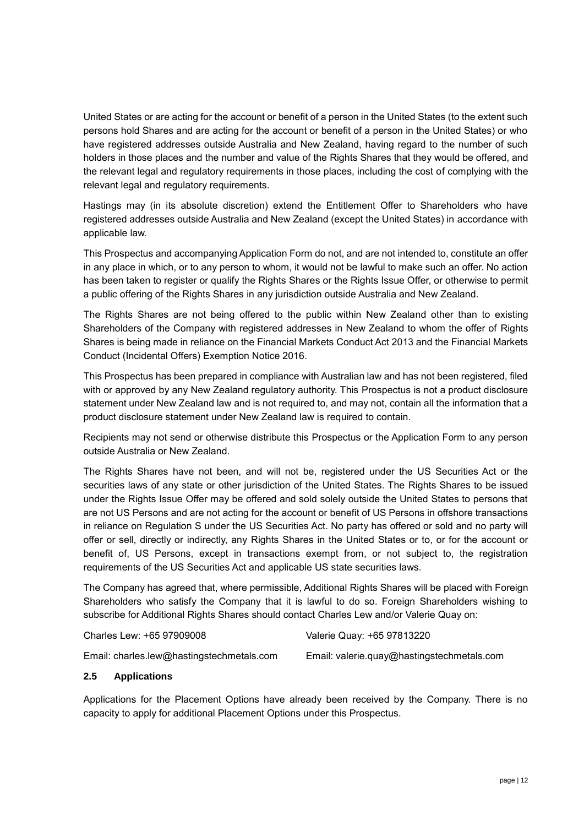United States or are acting for the account or benefit of a person in the United States (to the extent such persons hold Shares and are acting for the account or benefit of a person in the United States) or who have registered addresses outside Australia and New Zealand, having regard to the number of such holders in those places and the number and value of the Rights Shares that they would be offered, and the relevant legal and regulatory requirements in those places, including the cost of complying with the relevant legal and regulatory requirements.

Hastings may (in its absolute discretion) extend the Entitlement Offer to Shareholders who have registered addresses outside Australia and New Zealand (except the United States) in accordance with applicable law.

This Prospectus and accompanying Application Form do not, and are not intended to, constitute an offer in any place in which, or to any person to whom, it would not be lawful to make such an offer. No action has been taken to register or qualify the Rights Shares or the Rights Issue Offer, or otherwise to permit a public offering of the Rights Shares in any jurisdiction outside Australia and New Zealand.

The Rights Shares are not being offered to the public within New Zealand other than to existing Shareholders of the Company with registered addresses in New Zealand to whom the offer of Rights Shares is being made in reliance on the Financial Markets Conduct Act 2013 and the Financial Markets Conduct (Incidental Offers) Exemption Notice 2016.

This Prospectus has been prepared in compliance with Australian law and has not been registered, filed with or approved by any New Zealand regulatory authority. This Prospectus is not a product disclosure statement under New Zealand law and is not required to, and may not, contain all the information that a product disclosure statement under New Zealand law is required to contain.

Recipients may not send or otherwise distribute this Prospectus or the Application Form to any person outside Australia or New Zealand.

The Rights Shares have not been, and will not be, registered under the US Securities Act or the securities laws of any state or other jurisdiction of the United States. The Rights Shares to be issued under the Rights Issue Offer may be offered and sold solely outside the United States to persons that are not US Persons and are not acting for the account or benefit of US Persons in offshore transactions in reliance on Regulation S under the US Securities Act. No party has offered or sold and no party will offer or sell, directly or indirectly, any Rights Shares in the United States or to, or for the account or benefit of, US Persons, except in transactions exempt from, or not subject to, the registration requirements of the US Securities Act and applicable US state securities laws.

The Company has agreed that, where permissible, Additional Rights Shares will be placed with Foreign Shareholders who satisfy the Company that it is lawful to do so. Foreign Shareholders wishing to subscribe for Additional Rights Shares should contact Charles Lew and/or Valerie Quay on:

| Charles Lew: +65 97909008                 | Valerie Quay: +65 97813220                 |
|-------------------------------------------|--------------------------------------------|
| Email: charles.lew@hastingstechmetals.com | Email: valerie.quay@hastingstechmetals.com |

#### **2.5 Applications**

Applications for the Placement Options have already been received by the Company. There is no capacity to apply for additional Placement Options under this Prospectus.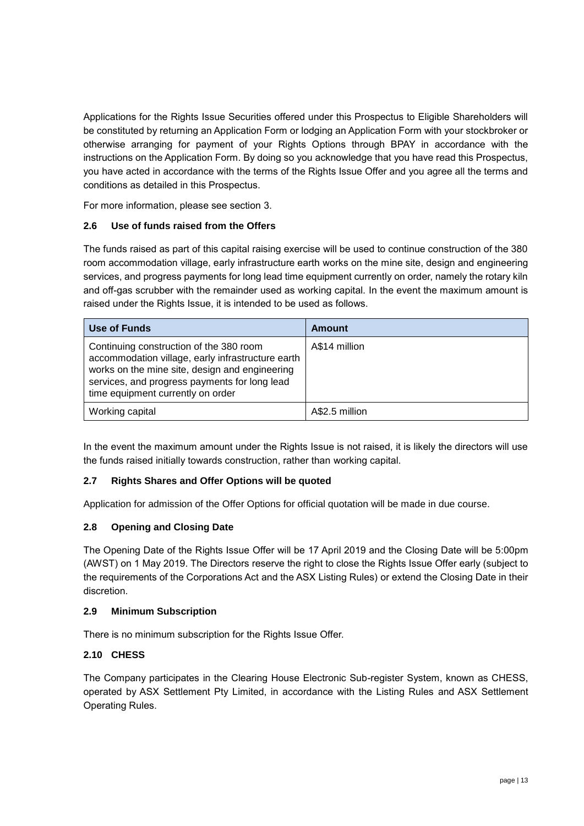Applications for the Rights Issue Securities offered under this Prospectus to Eligible Shareholders will be constituted by returning an Application Form or lodging an Application Form with your stockbroker or otherwise arranging for payment of your Rights Options through BPAY in accordance with the instructions on the Application Form. By doing so you acknowledge that you have read this Prospectus, you have acted in accordance with the terms of the Rights Issue Offer and you agree all the terms and conditions as detailed in this Prospectus.

For more information, please see section 3.

#### **2.6 Use of funds raised from the Offers**

The funds raised as part of this capital raising exercise will be used to continue construction of the 380 room accommodation village, early infrastructure earth works on the mine site, design and engineering services, and progress payments for long lead time equipment currently on order, namely the rotary kiln and off-gas scrubber with the remainder used as working capital. In the event the maximum amount is raised under the Rights Issue, it is intended to be used as follows.

| Use of Funds                                                                                                                                                                                                                         | Amount         |
|--------------------------------------------------------------------------------------------------------------------------------------------------------------------------------------------------------------------------------------|----------------|
| Continuing construction of the 380 room<br>accommodation village, early infrastructure earth<br>works on the mine site, design and engineering<br>services, and progress payments for long lead<br>time equipment currently on order | A\$14 million  |
| Working capital                                                                                                                                                                                                                      | A\$2.5 million |

In the event the maximum amount under the Rights Issue is not raised, it is likely the directors will use the funds raised initially towards construction, rather than working capital.

#### **2.7 Rights Shares and Offer Options will be quoted**

Application for admission of the Offer Options for official quotation will be made in due course.

#### **2.8 Opening and Closing Date**

The Opening Date of the Rights Issue Offer will be 17 April 2019 and the Closing Date will be 5:00pm (AWST) on 1 May 2019. The Directors reserve the right to close the Rights Issue Offer early (subject to the requirements of the Corporations Act and the ASX Listing Rules) or extend the Closing Date in their discretion.

#### **2.9 Minimum Subscription**

There is no minimum subscription for the Rights Issue Offer.

#### **2.10 CHESS**

The Company participates in the Clearing House Electronic Sub-register System, known as CHESS, operated by ASX Settlement Pty Limited, in accordance with the Listing Rules and ASX Settlement Operating Rules.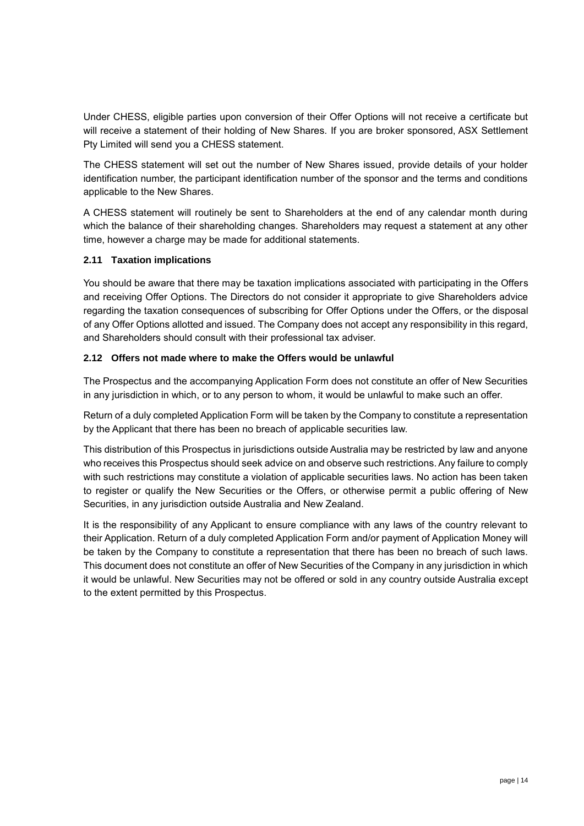Under CHESS, eligible parties upon conversion of their Offer Options will not receive a certificate but will receive a statement of their holding of New Shares. If you are broker sponsored, ASX Settlement Pty Limited will send you a CHESS statement.

The CHESS statement will set out the number of New Shares issued, provide details of your holder identification number, the participant identification number of the sponsor and the terms and conditions applicable to the New Shares.

A CHESS statement will routinely be sent to Shareholders at the end of any calendar month during which the balance of their shareholding changes. Shareholders may request a statement at any other time, however a charge may be made for additional statements.

#### **2.11 Taxation implications**

You should be aware that there may be taxation implications associated with participating in the Offers and receiving Offer Options. The Directors do not consider it appropriate to give Shareholders advice regarding the taxation consequences of subscribing for Offer Options under the Offers, or the disposal of any Offer Options allotted and issued. The Company does not accept any responsibility in this regard, and Shareholders should consult with their professional tax adviser.

#### **2.12 Offers not made where to make the Offers would be unlawful**

The Prospectus and the accompanying Application Form does not constitute an offer of New Securities in any jurisdiction in which, or to any person to whom, it would be unlawful to make such an offer.

Return of a duly completed Application Form will be taken by the Company to constitute a representation by the Applicant that there has been no breach of applicable securities law.

This distribution of this Prospectus in jurisdictions outside Australia may be restricted by law and anyone who receives this Prospectus should seek advice on and observe such restrictions. Any failure to comply with such restrictions may constitute a violation of applicable securities laws. No action has been taken to register or qualify the New Securities or the Offers, or otherwise permit a public offering of New Securities, in any jurisdiction outside Australia and New Zealand.

It is the responsibility of any Applicant to ensure compliance with any laws of the country relevant to their Application. Return of a duly completed Application Form and/or payment of Application Money will be taken by the Company to constitute a representation that there has been no breach of such laws. This document does not constitute an offer of New Securities of the Company in any jurisdiction in which it would be unlawful. New Securities may not be offered or sold in any country outside Australia except to the extent permitted by this Prospectus.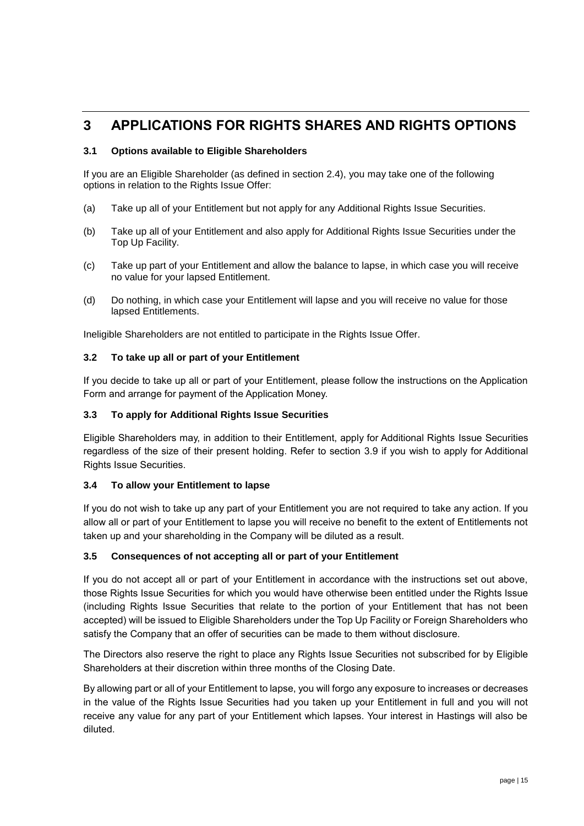### **3 APPLICATIONS FOR RIGHTS SHARES AND RIGHTS OPTIONS**

#### **3.1 Options available to Eligible Shareholders**

If you are an Eligible Shareholder (as defined in section 2.4), you may take one of the following options in relation to the Rights Issue Offer:

- (a) Take up all of your Entitlement but not apply for any Additional Rights Issue Securities.
- (b) Take up all of your Entitlement and also apply for Additional Rights Issue Securities under the Top Up Facility.
- (c) Take up part of your Entitlement and allow the balance to lapse, in which case you will receive no value for your lapsed Entitlement.
- (d) Do nothing, in which case your Entitlement will lapse and you will receive no value for those lapsed Entitlements.

Ineligible Shareholders are not entitled to participate in the Rights Issue Offer.

#### **3.2 To take up all or part of your Entitlement**

If you decide to take up all or part of your Entitlement, please follow the instructions on the Application Form and arrange for payment of the Application Money.

#### **3.3 To apply for Additional Rights Issue Securities**

Eligible Shareholders may, in addition to their Entitlement, apply for Additional Rights Issue Securities regardless of the size of their present holding. Refer to section [3.9](#page-19-0) if you wish to apply for Additional Rights Issue Securities.

#### **3.4 To allow your Entitlement to lapse**

If you do not wish to take up any part of your Entitlement you are not required to take any action. If you allow all or part of your Entitlement to lapse you will receive no benefit to the extent of Entitlements not taken up and your shareholding in the Company will be diluted as a result.

#### **3.5 Consequences of not accepting all or part of your Entitlement**

If you do not accept all or part of your Entitlement in accordance with the instructions set out above, those Rights Issue Securities for which you would have otherwise been entitled under the Rights Issue (including Rights Issue Securities that relate to the portion of your Entitlement that has not been accepted) will be issued to Eligible Shareholders under the Top Up Facility or Foreign Shareholders who satisfy the Company that an offer of securities can be made to them without disclosure.

The Directors also reserve the right to place any Rights Issue Securities not subscribed for by Eligible Shareholders at their discretion within three months of the Closing Date.

By allowing part or all of your Entitlement to lapse, you will forgo any exposure to increases or decreases in the value of the Rights Issue Securities had you taken up your Entitlement in full and you will not receive any value for any part of your Entitlement which lapses. Your interest in Hastings will also be diluted.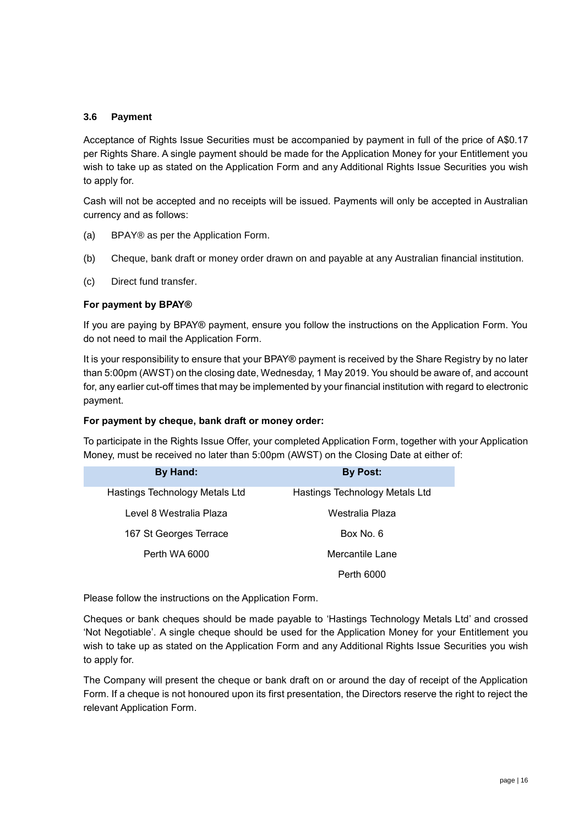#### **3.6 Payment**

Acceptance of Rights Issue Securities must be accompanied by payment in full of the price of A\$0.17 per Rights Share. A single payment should be made for the Application Money for your Entitlement you wish to take up as stated on the Application Form and any Additional Rights Issue Securities you wish to apply for.

Cash will not be accepted and no receipts will be issued. Payments will only be accepted in Australian currency and as follows:

- (a) BPAY® as per the Application Form.
- (b) Cheque, bank draft or money order drawn on and payable at any Australian financial institution.
- (c) Direct fund transfer.

#### **For payment by BPAY®**

If you are paying by BPAY® payment, ensure you follow the instructions on the Application Form. You do not need to mail the Application Form.

It is your responsibility to ensure that your BPAY® payment is received by the Share Registry by no later than 5:00pm (AWST) on the closing date, Wednesday, 1 May 2019. You should be aware of, and account for, any earlier cut-off times that may be implemented by your financial institution with regard to electronic payment.

#### **For payment by cheque, bank draft or money order:**

To participate in the Rights Issue Offer, your completed Application Form, together with your Application Money, must be received no later than 5:00pm (AWST) on the Closing Date at either of:

| <b>By Hand:</b>                | <b>By Post:</b>                |
|--------------------------------|--------------------------------|
| Hastings Technology Metals Ltd | Hastings Technology Metals Ltd |
| Level 8 Westralia Plaza        | Westralia Plaza                |
| 167 St Georges Terrace         | Box No. 6                      |
| Perth WA 6000                  | Mercantile Lane                |
|                                | Perth 6000                     |

Please follow the instructions on the Application Form.

Cheques or bank cheques should be made payable to 'Hastings Technology Metals Ltd' and crossed 'Not Negotiable'. A single cheque should be used for the Application Money for your Entitlement you wish to take up as stated on the Application Form and any Additional Rights Issue Securities you wish to apply for.

The Company will present the cheque or bank draft on or around the day of receipt of the Application Form. If a cheque is not honoured upon its first presentation, the Directors reserve the right to reject the relevant Application Form.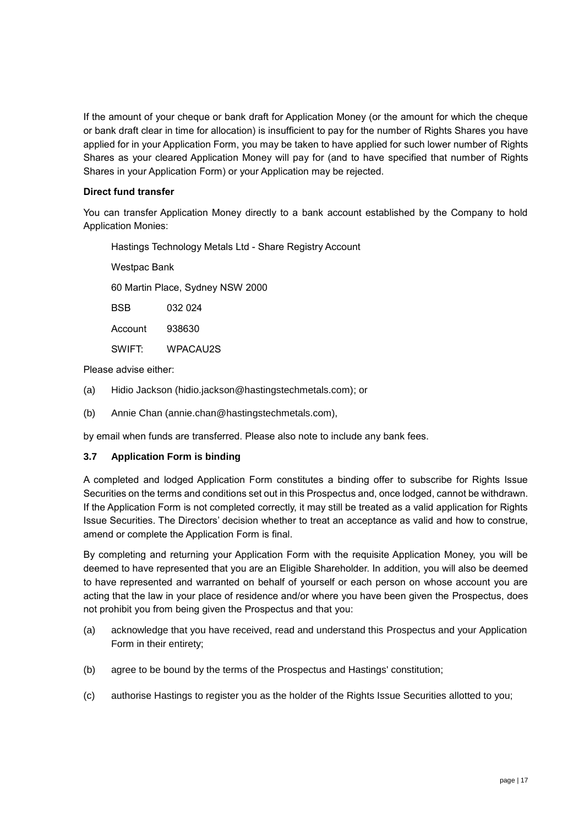If the amount of your cheque or bank draft for Application Money (or the amount for which the cheque or bank draft clear in time for allocation) is insufficient to pay for the number of Rights Shares you have applied for in your Application Form, you may be taken to have applied for such lower number of Rights Shares as your cleared Application Money will pay for (and to have specified that number of Rights Shares in your Application Form) or your Application may be rejected.

#### **Direct fund transfer**

You can transfer Application Money directly to a bank account established by the Company to hold Application Monies:

Hastings Technology Metals Ltd - Share Registry Account

Westpac Bank

60 Martin Place, Sydney NSW 2000

BSB 032 024

Account 938630

SWIFT: WPACAU2S

Please advise either:

- (a) Hidio Jackson (hidio.jackson@hastingstechmetals.com); or
- (b) Annie Chan (annie.chan@hastingstechmetals.com),

by email when funds are transferred. Please also note to include any bank fees.

#### **3.7 Application Form is binding**

A completed and lodged Application Form constitutes a binding offer to subscribe for Rights Issue Securities on the terms and conditions set out in this Prospectus and, once lodged, cannot be withdrawn. If the Application Form is not completed correctly, it may still be treated as a valid application for Rights Issue Securities. The Directors' decision whether to treat an acceptance as valid and how to construe, amend or complete the Application Form is final.

By completing and returning your Application Form with the requisite Application Money, you will be deemed to have represented that you are an Eligible Shareholder. In addition, you will also be deemed to have represented and warranted on behalf of yourself or each person on whose account you are acting that the law in your place of residence and/or where you have been given the Prospectus, does not prohibit you from being given the Prospectus and that you:

- (a) acknowledge that you have received, read and understand this Prospectus and your Application Form in their entirety;
- (b) agree to be bound by the terms of the Prospectus and Hastings' constitution;
- (c) authorise Hastings to register you as the holder of the Rights Issue Securities allotted to you;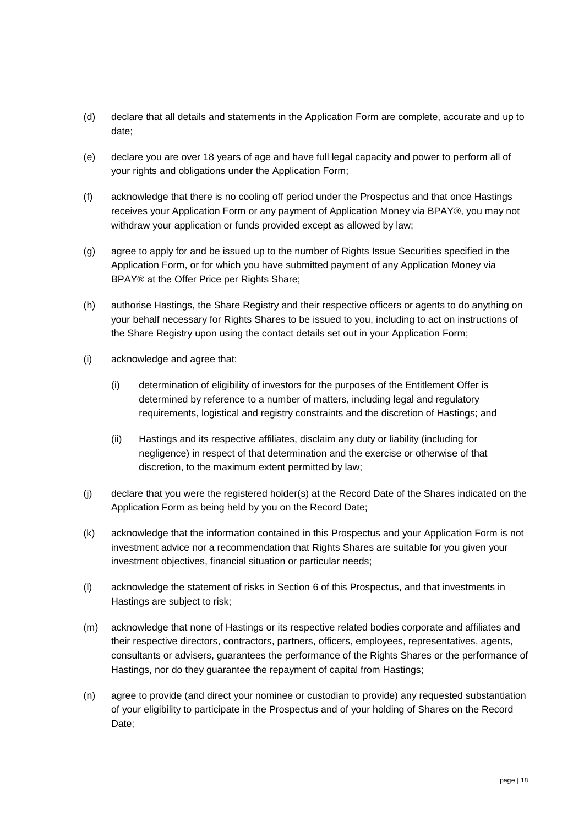- (d) declare that all details and statements in the Application Form are complete, accurate and up to date;
- (e) declare you are over 18 years of age and have full legal capacity and power to perform all of your rights and obligations under the Application Form;
- (f) acknowledge that there is no cooling off period under the Prospectus and that once Hastings receives your Application Form or any payment of Application Money via BPAY®, you may not withdraw your application or funds provided except as allowed by law;
- (g) agree to apply for and be issued up to the number of Rights Issue Securities specified in the Application Form, or for which you have submitted payment of any Application Money via BPAY® at the Offer Price per Rights Share;
- (h) authorise Hastings, the Share Registry and their respective officers or agents to do anything on your behalf necessary for Rights Shares to be issued to you, including to act on instructions of the Share Registry upon using the contact details set out in your Application Form;
- (i) acknowledge and agree that:
	- (i) determination of eligibility of investors for the purposes of the Entitlement Offer is determined by reference to a number of matters, including legal and regulatory requirements, logistical and registry constraints and the discretion of Hastings; and
	- (ii) Hastings and its respective affiliates, disclaim any duty or liability (including for negligence) in respect of that determination and the exercise or otherwise of that discretion, to the maximum extent permitted by law;
- (j) declare that you were the registered holder(s) at the Record Date of the Shares indicated on the Application Form as being held by you on the Record Date;
- (k) acknowledge that the information contained in this Prospectus and your Application Form is not investment advice nor a recommendation that Rights Shares are suitable for you given your investment objectives, financial situation or particular needs;
- (l) acknowledge the statement of risks in Section 6 of this Prospectus, and that investments in Hastings are subject to risk;
- (m) acknowledge that none of Hastings or its respective related bodies corporate and affiliates and their respective directors, contractors, partners, officers, employees, representatives, agents, consultants or advisers, guarantees the performance of the Rights Shares or the performance of Hastings, nor do they guarantee the repayment of capital from Hastings;
- (n) agree to provide (and direct your nominee or custodian to provide) any requested substantiation of your eligibility to participate in the Prospectus and of your holding of Shares on the Record Date;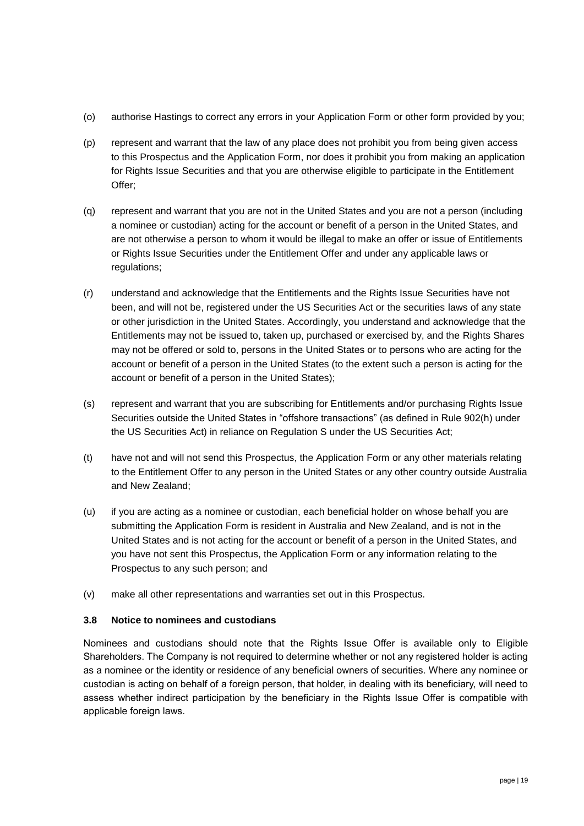- (o) authorise Hastings to correct any errors in your Application Form or other form provided by you;
- (p) represent and warrant that the law of any place does not prohibit you from being given access to this Prospectus and the Application Form, nor does it prohibit you from making an application for Rights Issue Securities and that you are otherwise eligible to participate in the Entitlement Offer;
- (q) represent and warrant that you are not in the United States and you are not a person (including a nominee or custodian) acting for the account or benefit of a person in the United States, and are not otherwise a person to whom it would be illegal to make an offer or issue of Entitlements or Rights Issue Securities under the Entitlement Offer and under any applicable laws or regulations;
- (r) understand and acknowledge that the Entitlements and the Rights Issue Securities have not been, and will not be, registered under the US Securities Act or the securities laws of any state or other jurisdiction in the United States. Accordingly, you understand and acknowledge that the Entitlements may not be issued to, taken up, purchased or exercised by, and the Rights Shares may not be offered or sold to, persons in the United States or to persons who are acting for the account or benefit of a person in the United States (to the extent such a person is acting for the account or benefit of a person in the United States);
- (s) represent and warrant that you are subscribing for Entitlements and/or purchasing Rights Issue Securities outside the United States in "offshore transactions" (as defined in Rule 902(h) under the US Securities Act) in reliance on Regulation S under the US Securities Act;
- (t) have not and will not send this Prospectus, the Application Form or any other materials relating to the Entitlement Offer to any person in the United States or any other country outside Australia and New Zealand;
- (u) if you are acting as a nominee or custodian, each beneficial holder on whose behalf you are submitting the Application Form is resident in Australia and New Zealand, and is not in the United States and is not acting for the account or benefit of a person in the United States, and you have not sent this Prospectus, the Application Form or any information relating to the Prospectus to any such person; and
- (v) make all other representations and warranties set out in this Prospectus.

#### **3.8 Notice to nominees and custodians**

Nominees and custodians should note that the Rights Issue Offer is available only to Eligible Shareholders. The Company is not required to determine whether or not any registered holder is acting as a nominee or the identity or residence of any beneficial owners of securities. Where any nominee or custodian is acting on behalf of a foreign person, that holder, in dealing with its beneficiary, will need to assess whether indirect participation by the beneficiary in the Rights Issue Offer is compatible with applicable foreign laws.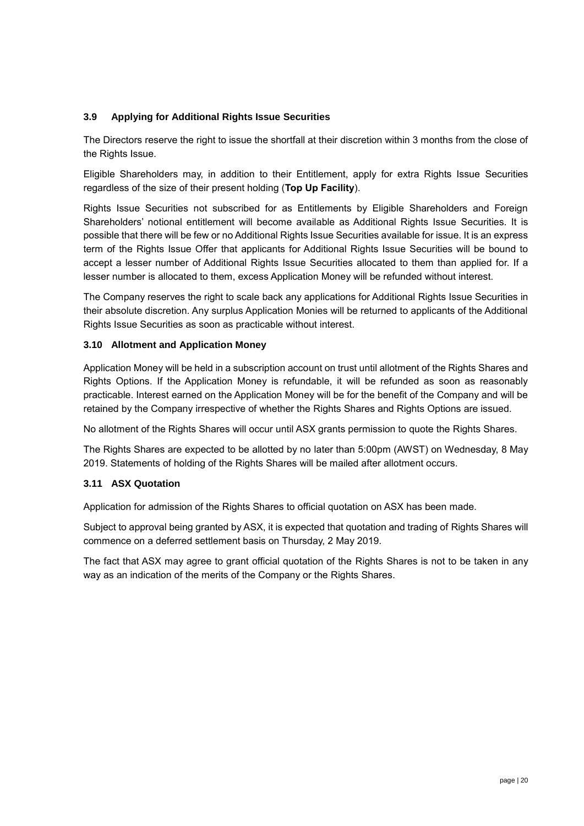#### <span id="page-19-0"></span>**3.9 Applying for Additional Rights Issue Securities**

The Directors reserve the right to issue the shortfall at their discretion within 3 months from the close of the Rights Issue.

Eligible Shareholders may, in addition to their Entitlement, apply for extra Rights Issue Securities regardless of the size of their present holding (**Top Up Facility**).

Rights Issue Securities not subscribed for as Entitlements by Eligible Shareholders and Foreign Shareholders' notional entitlement will become available as Additional Rights Issue Securities. It is possible that there will be few or no Additional Rights Issue Securities available for issue. It is an express term of the Rights Issue Offer that applicants for Additional Rights Issue Securities will be bound to accept a lesser number of Additional Rights Issue Securities allocated to them than applied for. If a lesser number is allocated to them, excess Application Money will be refunded without interest.

The Company reserves the right to scale back any applications for Additional Rights Issue Securities in their absolute discretion. Any surplus Application Monies will be returned to applicants of the Additional Rights Issue Securities as soon as practicable without interest.

#### **3.10 Allotment and Application Money**

Application Money will be held in a subscription account on trust until allotment of the Rights Shares and Rights Options. If the Application Money is refundable, it will be refunded as soon as reasonably practicable. Interest earned on the Application Money will be for the benefit of the Company and will be retained by the Company irrespective of whether the Rights Shares and Rights Options are issued.

No allotment of the Rights Shares will occur until ASX grants permission to quote the Rights Shares.

The Rights Shares are expected to be allotted by no later than 5:00pm (AWST) on Wednesday, 8 May 2019. Statements of holding of the Rights Shares will be mailed after allotment occurs.

#### **3.11 ASX Quotation**

Application for admission of the Rights Shares to official quotation on ASX has been made.

Subject to approval being granted by ASX, it is expected that quotation and trading of Rights Shares will commence on a deferred settlement basis on Thursday, 2 May 2019.

The fact that ASX may agree to grant official quotation of the Rights Shares is not to be taken in any way as an indication of the merits of the Company or the Rights Shares.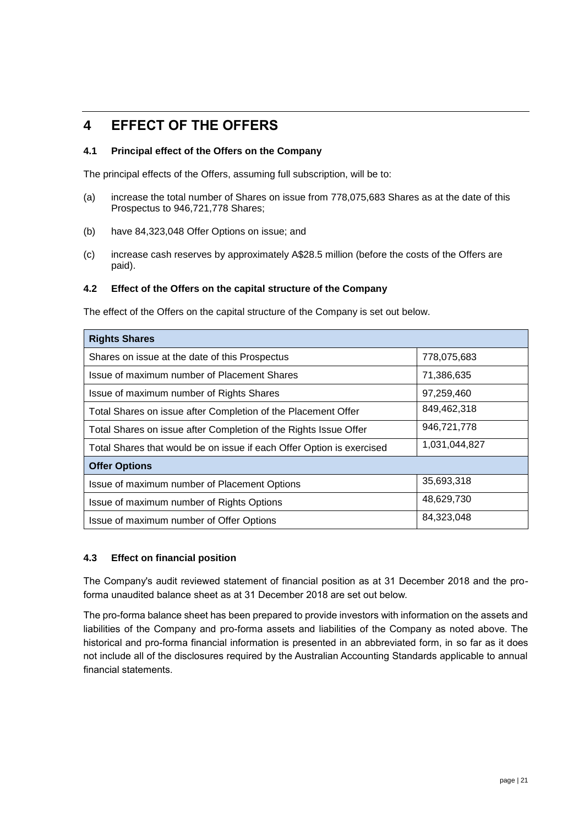### **4 EFFECT OF THE OFFERS**

#### **4.1 Principal effect of the Offers on the Company**

The principal effects of the Offers, assuming full subscription, will be to:

- (a) increase the total number of Shares on issue from 778,075,683 Shares as at the date of this Prospectus to 946,721,778 Shares;
- (b) have 84,323,048 Offer Options on issue; and
- (c) increase cash reserves by approximately A\$28.5 million (before the costs of the Offers are paid).

#### **4.2 Effect of the Offers on the capital structure of the Company**

The effect of the Offers on the capital structure of the Company is set out below.

| <b>Rights Shares</b>                                                                   |             |  |  |  |
|----------------------------------------------------------------------------------------|-------------|--|--|--|
| Shares on issue at the date of this Prospectus                                         | 778,075,683 |  |  |  |
| Issue of maximum number of Placement Shares                                            | 71,386,635  |  |  |  |
| Issue of maximum number of Rights Shares                                               | 97,259,460  |  |  |  |
| 849,462,318<br>Total Shares on issue after Completion of the Placement Offer           |             |  |  |  |
| 946,721,778<br>Total Shares on issue after Completion of the Rights Issue Offer        |             |  |  |  |
| 1,031,044,827<br>Total Shares that would be on issue if each Offer Option is exercised |             |  |  |  |
| <b>Offer Options</b>                                                                   |             |  |  |  |
| Issue of maximum number of Placement Options                                           | 35,693,318  |  |  |  |
| 48,629,730<br>Issue of maximum number of Rights Options                                |             |  |  |  |
| 84,323,048<br>Issue of maximum number of Offer Options                                 |             |  |  |  |

#### **4.3 Effect on financial position**

The Company's audit reviewed statement of financial position as at 31 December 2018 and the proforma unaudited balance sheet as at 31 December 2018 are set out below.

The pro-forma balance sheet has been prepared to provide investors with information on the assets and liabilities of the Company and pro-forma assets and liabilities of the Company as noted above. The historical and pro-forma financial information is presented in an abbreviated form, in so far as it does not include all of the disclosures required by the Australian Accounting Standards applicable to annual financial statements.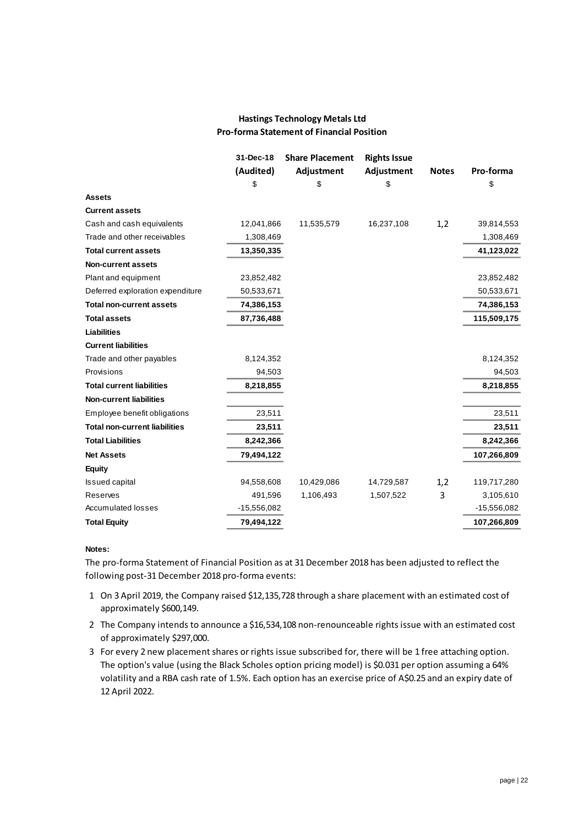#### **Hastings Technology Metals Ltd Pro-forma Statement of Financial Position**

|                                      | 31-Dec-18     | <b>Share Placement</b> | <b>Rights Issue</b> |              |               |
|--------------------------------------|---------------|------------------------|---------------------|--------------|---------------|
|                                      | (Audited)     | Adjustment             | Adjustment          | <b>Notes</b> | Pro-forma     |
|                                      | \$            | \$                     | \$                  |              | \$            |
| <b>Assets</b>                        |               |                        |                     |              |               |
| <b>Current assets</b>                |               |                        |                     |              |               |
| Cash and cash equivalents            | 12,041,866    | 11,535,579             | 16,237,108          | 1,2          | 39,814,553    |
| Trade and other receivables          | 1,308,469     |                        |                     |              | 1,308,469     |
| <b>Total current assets</b>          | 13,350,335    |                        |                     |              | 41,123,022    |
| Non-current assets                   |               |                        |                     |              |               |
| Plant and equipment                  | 23,852,482    |                        |                     |              | 23,852,482    |
| Deferred exploration expenditure     | 50,533,671    |                        |                     |              | 50,533,671    |
| <b>Total non-current assets</b>      | 74,386,153    |                        |                     |              | 74,386,153    |
| <b>Total assets</b>                  | 87,736,488    |                        |                     |              | 115,509,175   |
| <b>Liabilities</b>                   |               |                        |                     |              |               |
| <b>Current liabilities</b>           |               |                        |                     |              |               |
| Trade and other payables             | 8,124,352     |                        |                     |              | 8,124,352     |
| Provisions                           | 94,503        |                        |                     |              | 94,503        |
| <b>Total current liabilities</b>     | 8,218,855     |                        |                     |              | 8,218,855     |
| <b>Non-current liabilities</b>       |               |                        |                     |              |               |
| Employee benefit obligations         | 23,511        |                        |                     |              | 23,511        |
| <b>Total non-current liabilities</b> | 23,511        |                        |                     |              | 23,511        |
| <b>Total Liabilities</b>             | 8,242,366     |                        |                     |              | 8,242,366     |
| <b>Net Assets</b>                    | 79,494,122    |                        |                     |              | 107,266,809   |
| Equity                               |               |                        |                     |              |               |
| <b>Issued capital</b>                | 94,558,608    | 10,429,086             | 14,729,587          | 1,2          | 119,717,280   |
| Reserves                             | 491,596       | 1,106,493              | 1,507,522           | 3            | 3,105,610     |
| Accumulated losses                   | $-15,556,082$ |                        |                     |              | $-15,556,082$ |
| <b>Total Equity</b>                  | 79,494,122    |                        |                     |              | 107,266,809   |
|                                      |               |                        |                     |              |               |

#### **Notes:**

The pro-forma Statement of Financial Position as at 31 December 2018 has been adjusted to reflect the following post-31 December 2018 pro-forma events:

- 1 On 3 April 2019, the Company raised \$12,135,728 through a share placement with an estimated cost of approximately \$600,149.
- 2 The Company intends to announce a \$16,534,108 non-renounceable rights issue with an estimated cost of approximately \$297,000.
- 3 For every 2 new placement shares or rights issue subscribed for, there will be 1 free attaching option. The option's value (using the Black Scholes option pricing model) is \$0.031 per option assuming a 64% volatility and a RBA cash rate of 1.5%. Each option has an exercise price of A\$0.25 and an expiry date of 12 April 2022.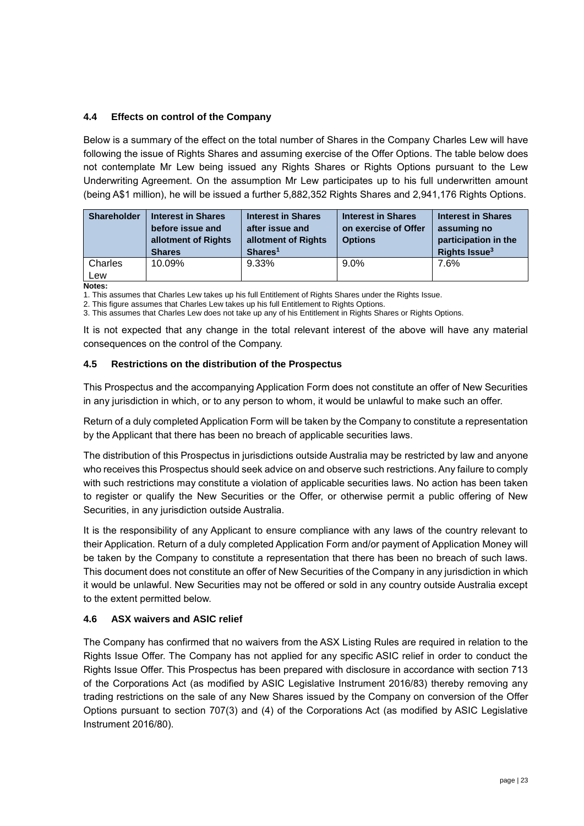#### **4.4 Effects on control of the Company**

Below is a summary of the effect on the total number of Shares in the Company Charles Lew will have following the issue of Rights Shares and assuming exercise of the Offer Options. The table below does not contemplate Mr Lew being issued any Rights Shares or Rights Options pursuant to the Lew Underwriting Agreement. On the assumption Mr Lew participates up to his full underwritten amount (being A\$1 million), he will be issued a further 5,882,352 Rights Shares and 2,941,176 Rights Options.

| <b>Shareholder</b> | <b>Interest in Shares</b><br>before issue and<br>allotment of Rights<br><b>Shares</b> | <b>Interest in Shares</b><br>after issue and<br>allotment of Rights<br>Shares <sup>1</sup> | <b>Interest in Shares</b><br>on exercise of Offer<br><b>Options</b> | <b>Interest in Shares</b><br>assuming no<br>participation in the<br>Rights Issue <sup>3</sup> |
|--------------------|---------------------------------------------------------------------------------------|--------------------------------------------------------------------------------------------|---------------------------------------------------------------------|-----------------------------------------------------------------------------------------------|
| Charles<br>Lew     | 10.09%                                                                                | 9.33%                                                                                      | $9.0\%$                                                             | 7.6%                                                                                          |

**Notes:**

1. This assumes that Charles Lew takes up his full Entitlement of Rights Shares under the Rights Issue.

2. This figure assumes that Charles Lew takes up his full Entitlement to Rights Options.

3. This assumes that Charles Lew does not take up any of his Entitlement in Rights Shares or Rights Options.

It is not expected that any change in the total relevant interest of the above will have any material consequences on the control of the Company.

#### **4.5 Restrictions on the distribution of the Prospectus**

This Prospectus and the accompanying Application Form does not constitute an offer of New Securities in any jurisdiction in which, or to any person to whom, it would be unlawful to make such an offer.

Return of a duly completed Application Form will be taken by the Company to constitute a representation by the Applicant that there has been no breach of applicable securities laws.

The distribution of this Prospectus in jurisdictions outside Australia may be restricted by law and anyone who receives this Prospectus should seek advice on and observe such restrictions. Any failure to comply with such restrictions may constitute a violation of applicable securities laws. No action has been taken to register or qualify the New Securities or the Offer, or otherwise permit a public offering of New Securities, in any jurisdiction outside Australia.

It is the responsibility of any Applicant to ensure compliance with any laws of the country relevant to their Application. Return of a duly completed Application Form and/or payment of Application Money will be taken by the Company to constitute a representation that there has been no breach of such laws. This document does not constitute an offer of New Securities of the Company in any jurisdiction in which it would be unlawful. New Securities may not be offered or sold in any country outside Australia except to the extent permitted below.

#### **4.6 ASX waivers and ASIC relief**

The Company has confirmed that no waivers from the ASX Listing Rules are required in relation to the Rights Issue Offer. The Company has not applied for any specific ASIC relief in order to conduct the Rights Issue Offer. This Prospectus has been prepared with disclosure in accordance with section 713 of the Corporations Act (as modified by ASIC Legislative Instrument 2016/83) thereby removing any trading restrictions on the sale of any New Shares issued by the Company on conversion of the Offer Options pursuant to section 707(3) and (4) of the Corporations Act (as modified by ASIC Legislative Instrument 2016/80).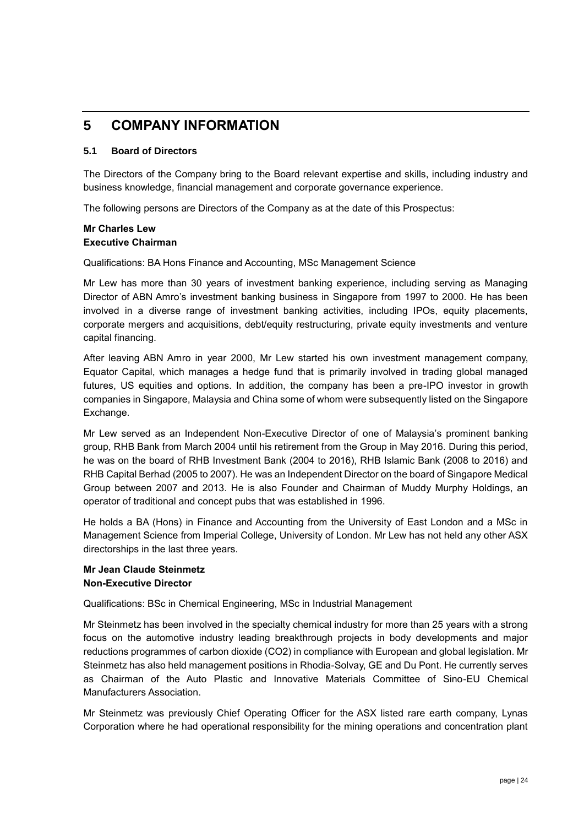### **5 COMPANY INFORMATION**

#### **5.1 Board of Directors**

The Directors of the Company bring to the Board relevant expertise and skills, including industry and business knowledge, financial management and corporate governance experience.

The following persons are Directors of the Company as at the date of this Prospectus:

#### **Mr Charles Lew Executive Chairman**

Qualifications: BA Hons Finance and Accounting, MSc Management Science

Mr Lew has more than 30 years of investment banking experience, including serving as Managing Director of ABN Amro's investment banking business in Singapore from 1997 to 2000. He has been involved in a diverse range of investment banking activities, including IPOs, equity placements, corporate mergers and acquisitions, debt/equity restructuring, private equity investments and venture capital financing.

After leaving ABN Amro in year 2000, Mr Lew started his own investment management company, Equator Capital, which manages a hedge fund that is primarily involved in trading global managed futures, US equities and options. In addition, the company has been a pre-IPO investor in growth companies in Singapore, Malaysia and China some of whom were subsequently listed on the Singapore Exchange.

Mr Lew served as an Independent Non-Executive Director of one of Malaysia's prominent banking group, RHB Bank from March 2004 until his retirement from the Group in May 2016. During this period, he was on the board of RHB Investment Bank (2004 to 2016), RHB Islamic Bank (2008 to 2016) and RHB Capital Berhad (2005 to 2007). He was an Independent Director on the board of Singapore Medical Group between 2007 and 2013. He is also Founder and Chairman of Muddy Murphy Holdings, an operator of traditional and concept pubs that was established in 1996.

He holds a BA (Hons) in Finance and Accounting from the University of East London and a MSc in Management Science from Imperial College, University of London. Mr Lew has not held any other ASX directorships in the last three years.

#### **Mr Jean Claude Steinmetz Non-Executive Director**

Qualifications: BSc in Chemical Engineering, MSc in Industrial Management

Mr Steinmetz has been involved in the specialty chemical industry for more than 25 years with a strong focus on the automotive industry leading breakthrough projects in body developments and major reductions programmes of carbon dioxide (CO2) in compliance with European and global legislation. Mr Steinmetz has also held management positions in Rhodia-Solvay, GE and Du Pont. He currently serves as Chairman of the Auto Plastic and Innovative Materials Committee of Sino-EU Chemical Manufacturers Association.

Mr Steinmetz was previously Chief Operating Officer for the ASX listed rare earth company, Lynas Corporation where he had operational responsibility for the mining operations and concentration plant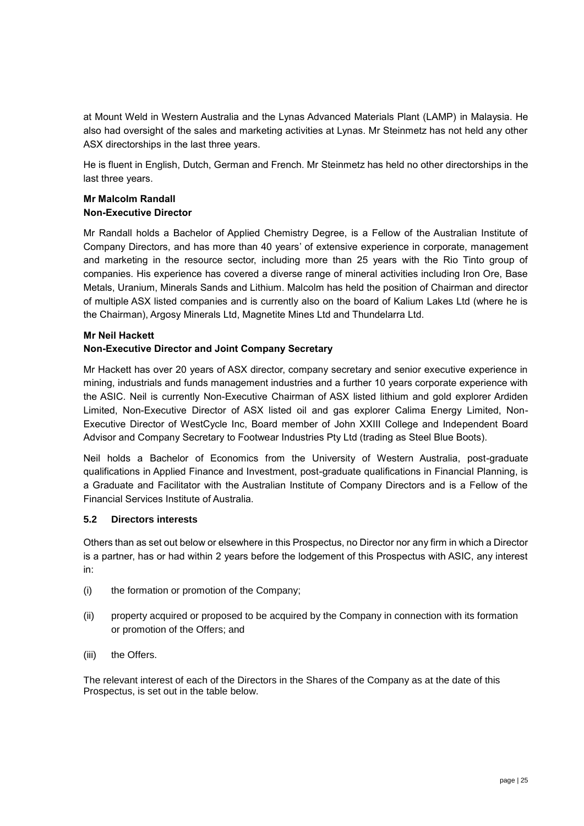at Mount Weld in Western Australia and the Lynas Advanced Materials Plant (LAMP) in Malaysia. He also had oversight of the sales and marketing activities at Lynas. Mr Steinmetz has not held any other ASX directorships in the last three years.

He is fluent in English, Dutch, German and French. Mr Steinmetz has held no other directorships in the last three years.

#### **Mr Malcolm Randall Non-Executive Director**

Mr Randall holds a Bachelor of Applied Chemistry Degree, is a Fellow of the Australian Institute of Company Directors, and has more than 40 years' of extensive experience in corporate, management and marketing in the resource sector, including more than 25 years with the Rio Tinto group of companies. His experience has covered a diverse range of mineral activities including Iron Ore, Base Metals, Uranium, Minerals Sands and Lithium. Malcolm has held the position of Chairman and director of multiple ASX listed companies and is currently also on the board of Kalium Lakes Ltd (where he is the Chairman), Argosy Minerals Ltd, Magnetite Mines Ltd and Thundelarra Ltd.

#### **Mr Neil Hackett**

#### **Non-Executive Director and Joint Company Secretary**

Mr Hackett has over 20 years of ASX director, company secretary and senior executive experience in mining, industrials and funds management industries and a further 10 years corporate experience with the ASIC. Neil is currently Non-Executive Chairman of ASX listed lithium and gold explorer Ardiden Limited, Non-Executive Director of ASX listed oil and gas explorer Calima Energy Limited, Non-Executive Director of WestCycle Inc, Board member of John XXIII College and Independent Board Advisor and Company Secretary to Footwear Industries Pty Ltd (trading as Steel Blue Boots).

Neil holds a Bachelor of Economics from the University of Western Australia, post-graduate qualifications in Applied Finance and Investment, post-graduate qualifications in Financial Planning, is a Graduate and Facilitator with the Australian Institute of Company Directors and is a Fellow of the Financial Services Institute of Australia.

#### **5.2 Directors interests**

Others than as set out below or elsewhere in this Prospectus, no Director nor any firm in which a Director is a partner, has or had within 2 years before the lodgement of this Prospectus with ASIC, any interest in:

- (i) the formation or promotion of the Company;
- (ii) property acquired or proposed to be acquired by the Company in connection with its formation or promotion of the Offers; and
- (iii) the Offers.

The relevant interest of each of the Directors in the Shares of the Company as at the date of this Prospectus, is set out in the table below.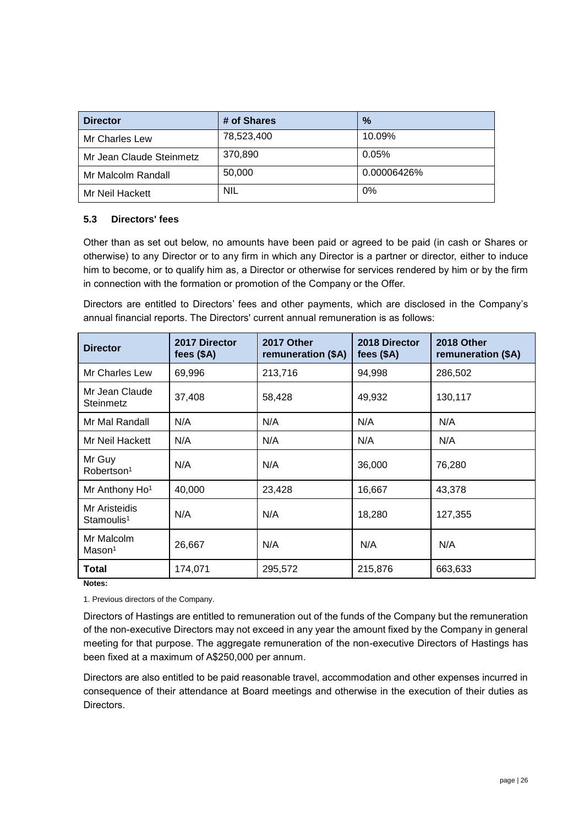| <b>Director</b>          | # of Shares | $\%$        |
|--------------------------|-------------|-------------|
| Mr Charles Lew           | 78,523,400  | 10.09%      |
| Mr Jean Claude Steinmetz | 370,890     | 0.05%       |
| Mr Malcolm Randall       | 50,000      | 0.00006426% |
| Mr Neil Hackett          | <b>NIL</b>  | 0%          |

#### **5.3 Directors' fees**

Other than as set out below, no amounts have been paid or agreed to be paid (in cash or Shares or otherwise) to any Director or to any firm in which any Director is a partner or director, either to induce him to become, or to qualify him as, a Director or otherwise for services rendered by him or by the firm in connection with the formation or promotion of the Company or the Offer.

Directors are entitled to Directors' fees and other payments, which are disclosed in the Company's annual financial reports. The Directors' current annual remuneration is as follows:

| <b>Director</b>                         | 2017 Director<br>fees $($A)$ | 2017 Other<br>remuneration (\$A) | 2018 Director<br>fees $($A)$ | 2018 Other<br>remuneration (\$A) |
|-----------------------------------------|------------------------------|----------------------------------|------------------------------|----------------------------------|
| Mr Charles Lew                          | 69,996                       | 213,716                          | 94,998                       | 286,502                          |
| Mr Jean Claude<br>Steinmetz             | 37,408                       | 58,428                           | 49,932                       | 130,117                          |
| Mr Mal Randall                          | N/A                          | N/A                              | N/A                          | N/A                              |
| Mr Neil Hackett                         | N/A                          | N/A                              | N/A                          | N/A                              |
| Mr Guy<br>Robertson <sup>1</sup>        | N/A                          | N/A                              | 36,000                       | 76,280                           |
| Mr Anthony Ho <sup>1</sup>              | 40,000                       | 23,428                           | 16,667                       | 43,378                           |
| Mr Aristeidis<br>Stamoulis <sup>1</sup> | N/A                          | N/A                              | 18,280                       | 127,355                          |
| Mr Malcolm<br>Mason <sup>1</sup>        | 26,667                       | N/A                              | N/A                          | N/A                              |
| <b>Total</b>                            | 174,071                      | 295,572                          | 215,876                      | 663,633                          |

**Notes:**

1. Previous directors of the Company.

Directors of Hastings are entitled to remuneration out of the funds of the Company but the remuneration of the non-executive Directors may not exceed in any year the amount fixed by the Company in general meeting for that purpose. The aggregate remuneration of the non-executive Directors of Hastings has been fixed at a maximum of A\$250,000 per annum.

Directors are also entitled to be paid reasonable travel, accommodation and other expenses incurred in consequence of their attendance at Board meetings and otherwise in the execution of their duties as Directors.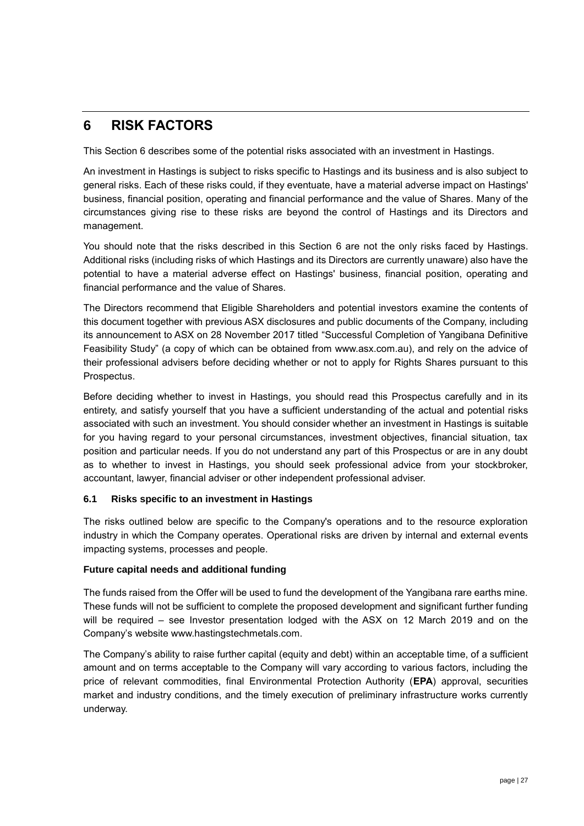### <span id="page-26-0"></span>**6 RISK FACTORS**

This Section [6](#page-26-0) describes some of the potential risks associated with an investment in Hastings.

An investment in Hastings is subject to risks specific to Hastings and its business and is also subject to general risks. Each of these risks could, if they eventuate, have a material adverse impact on Hastings' business, financial position, operating and financial performance and the value of Shares. Many of the circumstances giving rise to these risks are beyond the control of Hastings and its Directors and management.

You should note that the risks described in this Section [6](#page-26-0) are not the only risks faced by Hastings. Additional risks (including risks of which Hastings and its Directors are currently unaware) also have the potential to have a material adverse effect on Hastings' business, financial position, operating and financial performance and the value of Shares.

The Directors recommend that Eligible Shareholders and potential investors examine the contents of this document together with previous ASX disclosures and public documents of the Company, including its announcement to ASX on 28 November 2017 titled "Successful Completion of Yangibana Definitive Feasibility Study" (a copy of which can be obtained from www.asx.com.au), and rely on the advice of their professional advisers before deciding whether or not to apply for Rights Shares pursuant to this Prospectus.

Before deciding whether to invest in Hastings, you should read this Prospectus carefully and in its entirety, and satisfy yourself that you have a sufficient understanding of the actual and potential risks associated with such an investment. You should consider whether an investment in Hastings is suitable for you having regard to your personal circumstances, investment objectives, financial situation, tax position and particular needs. If you do not understand any part of this Prospectus or are in any doubt as to whether to invest in Hastings, you should seek professional advice from your stockbroker, accountant, lawyer, financial adviser or other independent professional adviser.

#### **6.1 Risks specific to an investment in Hastings**

The risks outlined below are specific to the Company's operations and to the resource exploration industry in which the Company operates. Operational risks are driven by internal and external events impacting systems, processes and people.

#### **Future capital needs and additional funding**

The funds raised from the Offer will be used to fund the development of the Yangibana rare earths mine. These funds will not be sufficient to complete the proposed development and significant further funding will be required – see Investor presentation lodged with the ASX on 12 March 2019 and on the Company's website www.hastingstechmetals.com.

The Company's ability to raise further capital (equity and debt) within an acceptable time, of a sufficient amount and on terms acceptable to the Company will vary according to various factors, including the price of relevant commodities, final Environmental Protection Authority (**EPA**) approval, securities market and industry conditions, and the timely execution of preliminary infrastructure works currently underway.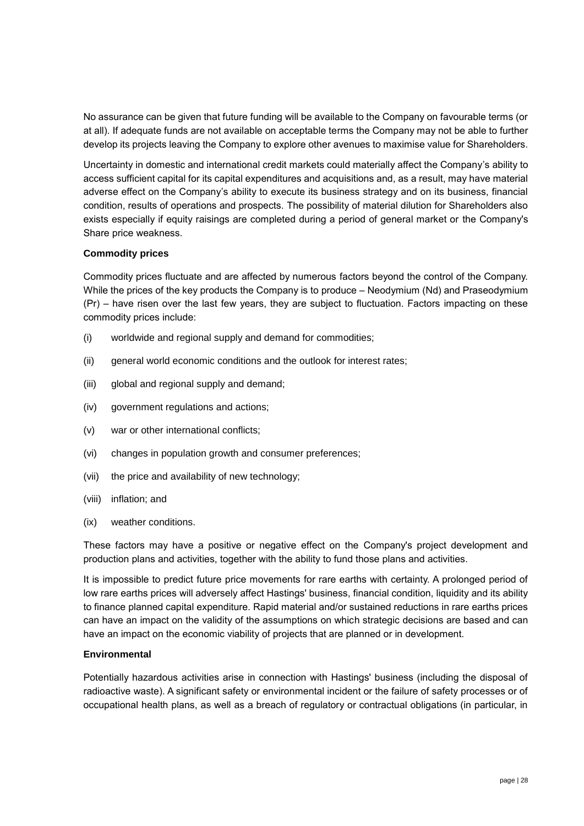No assurance can be given that future funding will be available to the Company on favourable terms (or at all). If adequate funds are not available on acceptable terms the Company may not be able to further develop its projects leaving the Company to explore other avenues to maximise value for Shareholders.

Uncertainty in domestic and international credit markets could materially affect the Company's ability to access sufficient capital for its capital expenditures and acquisitions and, as a result, may have material adverse effect on the Company's ability to execute its business strategy and on its business, financial condition, results of operations and prospects. The possibility of material dilution for Shareholders also exists especially if equity raisings are completed during a period of general market or the Company's Share price weakness.

#### **Commodity prices**

Commodity prices fluctuate and are affected by numerous factors beyond the control of the Company. While the prices of the key products the Company is to produce – Neodymium (Nd) and Praseodymium (Pr) – have risen over the last few years, they are subject to fluctuation. Factors impacting on these commodity prices include:

- (i) worldwide and regional supply and demand for commodities;
- (ii) general world economic conditions and the outlook for interest rates;
- (iii) global and regional supply and demand;
- (iv) government regulations and actions;
- (v) war or other international conflicts;
- (vi) changes in population growth and consumer preferences;
- (vii) the price and availability of new technology;
- (viii) inflation; and
- (ix) weather conditions.

These factors may have a positive or negative effect on the Company's project development and production plans and activities, together with the ability to fund those plans and activities.

It is impossible to predict future price movements for rare earths with certainty. A prolonged period of low rare earths prices will adversely affect Hastings' business, financial condition, liquidity and its ability to finance planned capital expenditure. Rapid material and/or sustained reductions in rare earths prices can have an impact on the validity of the assumptions on which strategic decisions are based and can have an impact on the economic viability of projects that are planned or in development.

#### **Environmental**

Potentially hazardous activities arise in connection with Hastings' business (including the disposal of radioactive waste). A significant safety or environmental incident or the failure of safety processes or of occupational health plans, as well as a breach of regulatory or contractual obligations (in particular, in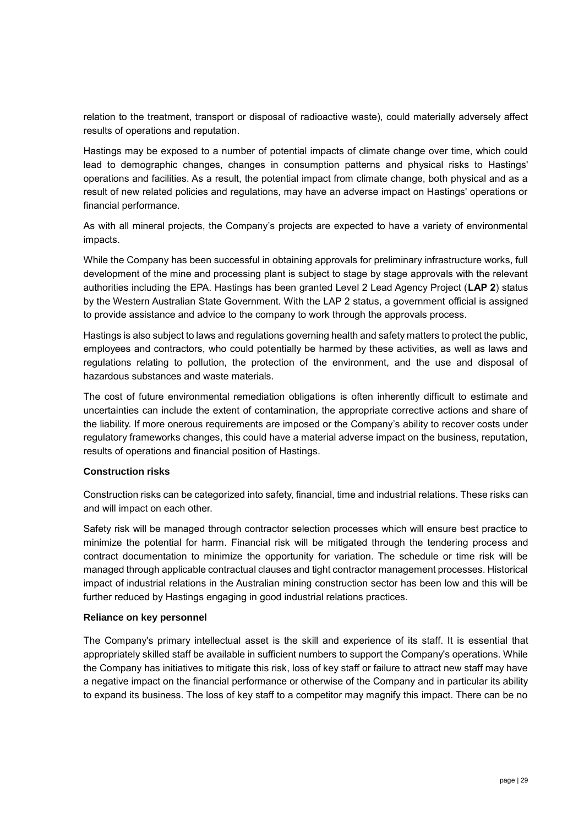relation to the treatment, transport or disposal of radioactive waste), could materially adversely affect results of operations and reputation.

Hastings may be exposed to a number of potential impacts of climate change over time, which could lead to demographic changes, changes in consumption patterns and physical risks to Hastings' operations and facilities. As a result, the potential impact from climate change, both physical and as a result of new related policies and regulations, may have an adverse impact on Hastings' operations or financial performance.

As with all mineral projects, the Company's projects are expected to have a variety of environmental impacts.

While the Company has been successful in obtaining approvals for preliminary infrastructure works, full development of the mine and processing plant is subject to stage by stage approvals with the relevant authorities including the EPA. Hastings has been granted Level 2 Lead Agency Project (**LAP 2**) status by the Western Australian State Government. With the LAP 2 status, a government official is assigned to provide assistance and advice to the company to work through the approvals process.

Hastings is also subject to laws and regulations governing health and safety matters to protect the public, employees and contractors, who could potentially be harmed by these activities, as well as laws and regulations relating to pollution, the protection of the environment, and the use and disposal of hazardous substances and waste materials.

The cost of future environmental remediation obligations is often inherently difficult to estimate and uncertainties can include the extent of contamination, the appropriate corrective actions and share of the liability. If more onerous requirements are imposed or the Company's ability to recover costs under regulatory frameworks changes, this could have a material adverse impact on the business, reputation, results of operations and financial position of Hastings.

#### **Construction risks**

Construction risks can be categorized into safety, financial, time and industrial relations. These risks can and will impact on each other.

Safety risk will be managed through contractor selection processes which will ensure best practice to minimize the potential for harm. Financial risk will be mitigated through the tendering process and contract documentation to minimize the opportunity for variation. The schedule or time risk will be managed through applicable contractual clauses and tight contractor management processes. Historical impact of industrial relations in the Australian mining construction sector has been low and this will be further reduced by Hastings engaging in good industrial relations practices.

#### **Reliance on key personnel**

The Company's primary intellectual asset is the skill and experience of its staff. It is essential that appropriately skilled staff be available in sufficient numbers to support the Company's operations. While the Company has initiatives to mitigate this risk, loss of key staff or failure to attract new staff may have a negative impact on the financial performance or otherwise of the Company and in particular its ability to expand its business. The loss of key staff to a competitor may magnify this impact. There can be no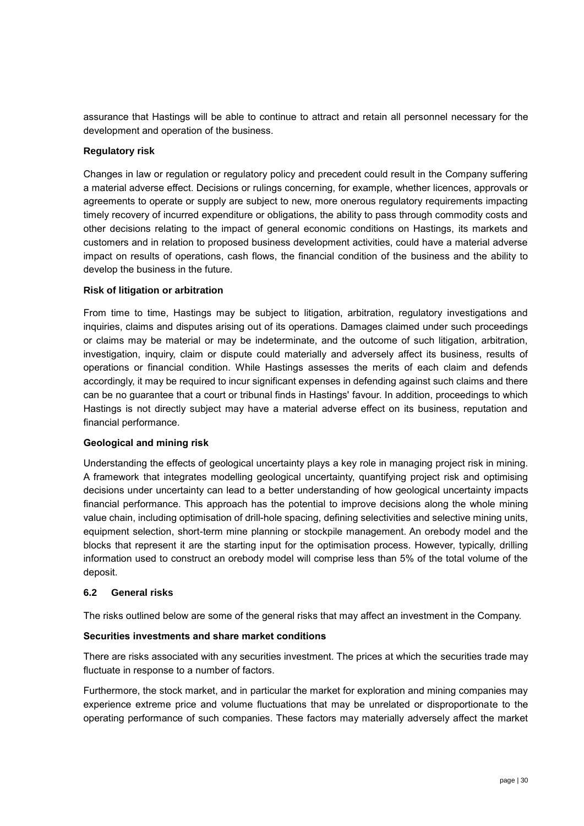assurance that Hastings will be able to continue to attract and retain all personnel necessary for the development and operation of the business.

#### **Regulatory risk**

Changes in law or regulation or regulatory policy and precedent could result in the Company suffering a material adverse effect. Decisions or rulings concerning, for example, whether licences, approvals or agreements to operate or supply are subject to new, more onerous regulatory requirements impacting timely recovery of incurred expenditure or obligations, the ability to pass through commodity costs and other decisions relating to the impact of general economic conditions on Hastings, its markets and customers and in relation to proposed business development activities, could have a material adverse impact on results of operations, cash flows, the financial condition of the business and the ability to develop the business in the future.

#### **Risk of litigation or arbitration**

From time to time, Hastings may be subject to litigation, arbitration, regulatory investigations and inquiries, claims and disputes arising out of its operations. Damages claimed under such proceedings or claims may be material or may be indeterminate, and the outcome of such litigation, arbitration, investigation, inquiry, claim or dispute could materially and adversely affect its business, results of operations or financial condition. While Hastings assesses the merits of each claim and defends accordingly, it may be required to incur significant expenses in defending against such claims and there can be no guarantee that a court or tribunal finds in Hastings' favour. In addition, proceedings to which Hastings is not directly subject may have a material adverse effect on its business, reputation and financial performance.

#### **Geological and mining risk**

Understanding the effects of geological uncertainty plays a key role in managing project risk in mining. A framework that integrates modelling geological uncertainty, quantifying project risk and optimising decisions under uncertainty can lead to a better understanding of how geological uncertainty impacts financial performance. This approach has the potential to improve decisions along the whole mining value chain, including optimisation of drill-hole spacing, defining selectivities and selective mining units, equipment selection, short-term mine planning or stockpile management. An orebody model and the blocks that represent it are the starting input for the optimisation process. However, typically, drilling information used to construct an orebody model will comprise less than 5% of the total volume of the deposit.

#### **6.2 General risks**

The risks outlined below are some of the general risks that may affect an investment in the Company.

#### **Securities investments and share market conditions**

There are risks associated with any securities investment. The prices at which the securities trade may fluctuate in response to a number of factors.

Furthermore, the stock market, and in particular the market for exploration and mining companies may experience extreme price and volume fluctuations that may be unrelated or disproportionate to the operating performance of such companies. These factors may materially adversely affect the market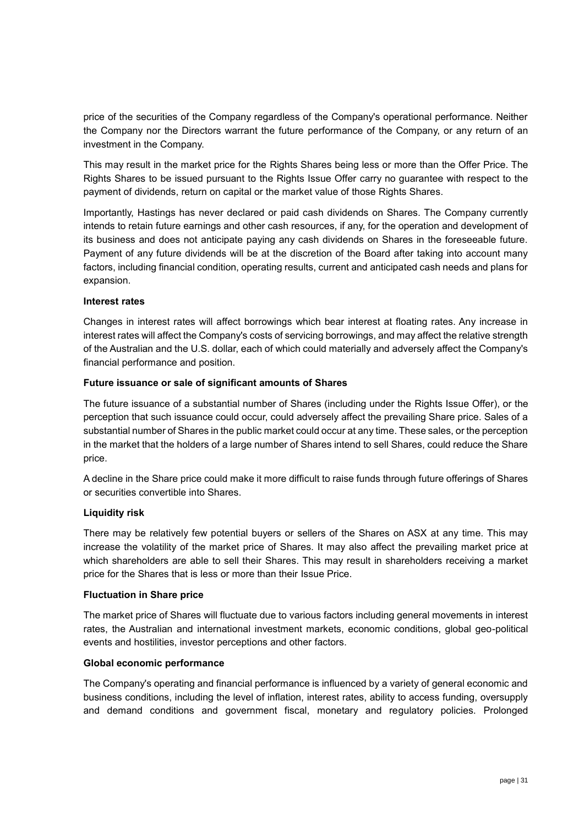price of the securities of the Company regardless of the Company's operational performance. Neither the Company nor the Directors warrant the future performance of the Company, or any return of an investment in the Company.

This may result in the market price for the Rights Shares being less or more than the Offer Price. The Rights Shares to be issued pursuant to the Rights Issue Offer carry no guarantee with respect to the payment of dividends, return on capital or the market value of those Rights Shares.

Importantly, Hastings has never declared or paid cash dividends on Shares. The Company currently intends to retain future earnings and other cash resources, if any, for the operation and development of its business and does not anticipate paying any cash dividends on Shares in the foreseeable future. Payment of any future dividends will be at the discretion of the Board after taking into account many factors, including financial condition, operating results, current and anticipated cash needs and plans for expansion.

#### **Interest rates**

Changes in interest rates will affect borrowings which bear interest at floating rates. Any increase in interest rates will affect the Company's costs of servicing borrowings, and may affect the relative strength of the Australian and the U.S. dollar, each of which could materially and adversely affect the Company's financial performance and position.

#### **Future issuance or sale of significant amounts of Shares**

The future issuance of a substantial number of Shares (including under the Rights Issue Offer), or the perception that such issuance could occur, could adversely affect the prevailing Share price. Sales of a substantial number of Shares in the public market could occur at any time. These sales, or the perception in the market that the holders of a large number of Shares intend to sell Shares, could reduce the Share price.

A decline in the Share price could make it more difficult to raise funds through future offerings of Shares or securities convertible into Shares.

#### **Liquidity risk**

There may be relatively few potential buyers or sellers of the Shares on ASX at any time. This may increase the volatility of the market price of Shares. It may also affect the prevailing market price at which shareholders are able to sell their Shares. This may result in shareholders receiving a market price for the Shares that is less or more than their Issue Price.

#### **Fluctuation in Share price**

The market price of Shares will fluctuate due to various factors including general movements in interest rates, the Australian and international investment markets, economic conditions, global geo-political events and hostilities, investor perceptions and other factors.

#### **Global economic performance**

The Company's operating and financial performance is influenced by a variety of general economic and business conditions, including the level of inflation, interest rates, ability to access funding, oversupply and demand conditions and government fiscal, monetary and regulatory policies. Prolonged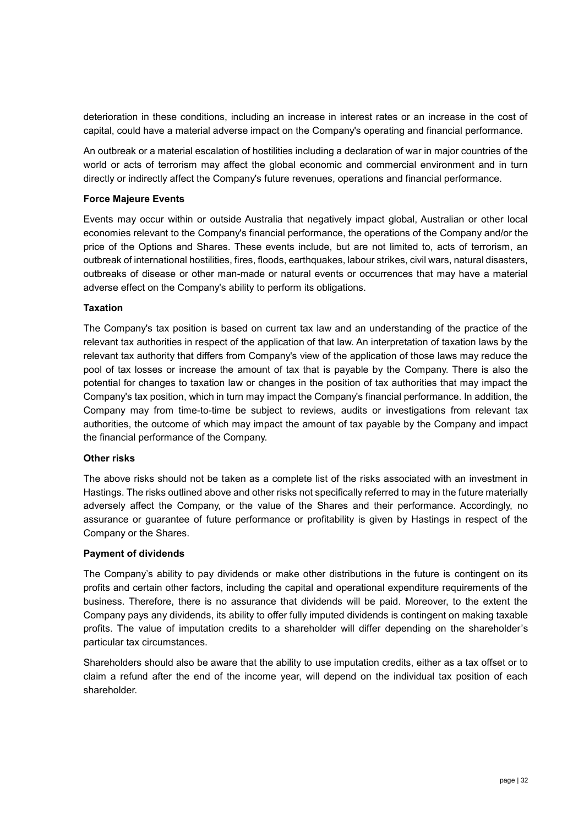deterioration in these conditions, including an increase in interest rates or an increase in the cost of capital, could have a material adverse impact on the Company's operating and financial performance.

An outbreak or a material escalation of hostilities including a declaration of war in major countries of the world or acts of terrorism may affect the global economic and commercial environment and in turn directly or indirectly affect the Company's future revenues, operations and financial performance.

#### **Force Majeure Events**

Events may occur within or outside Australia that negatively impact global, Australian or other local economies relevant to the Company's financial performance, the operations of the Company and/or the price of the Options and Shares. These events include, but are not limited to, acts of terrorism, an outbreak of international hostilities, fires, floods, earthquakes, labour strikes, civil wars, natural disasters, outbreaks of disease or other man-made or natural events or occurrences that may have a material adverse effect on the Company's ability to perform its obligations.

#### **Taxation**

The Company's tax position is based on current tax law and an understanding of the practice of the relevant tax authorities in respect of the application of that law. An interpretation of taxation laws by the relevant tax authority that differs from Company's view of the application of those laws may reduce the pool of tax losses or increase the amount of tax that is payable by the Company. There is also the potential for changes to taxation law or changes in the position of tax authorities that may impact the Company's tax position, which in turn may impact the Company's financial performance. In addition, the Company may from time-to-time be subject to reviews, audits or investigations from relevant tax authorities, the outcome of which may impact the amount of tax payable by the Company and impact the financial performance of the Company.

#### **Other risks**

The above risks should not be taken as a complete list of the risks associated with an investment in Hastings. The risks outlined above and other risks not specifically referred to may in the future materially adversely affect the Company, or the value of the Shares and their performance. Accordingly, no assurance or guarantee of future performance or profitability is given by Hastings in respect of the Company or the Shares.

#### **Payment of dividends**

The Company's ability to pay dividends or make other distributions in the future is contingent on its profits and certain other factors, including the capital and operational expenditure requirements of the business. Therefore, there is no assurance that dividends will be paid. Moreover, to the extent the Company pays any dividends, its ability to offer fully imputed dividends is contingent on making taxable profits. The value of imputation credits to a shareholder will differ depending on the shareholder's particular tax circumstances.

Shareholders should also be aware that the ability to use imputation credits, either as a tax offset or to claim a refund after the end of the income year, will depend on the individual tax position of each shareholder.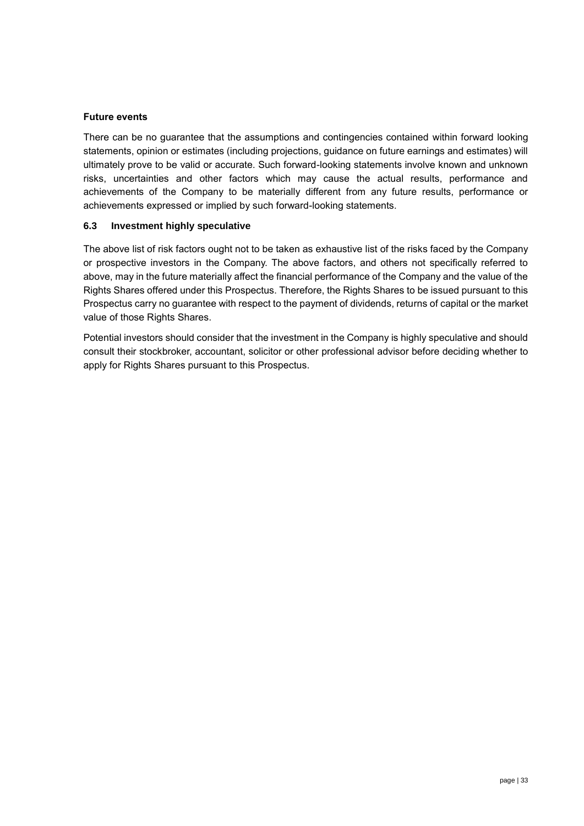#### **Future events**

There can be no guarantee that the assumptions and contingencies contained within forward looking statements, opinion or estimates (including projections, guidance on future earnings and estimates) will ultimately prove to be valid or accurate. Such forward-looking statements involve known and unknown risks, uncertainties and other factors which may cause the actual results, performance and achievements of the Company to be materially different from any future results, performance or achievements expressed or implied by such forward-looking statements.

#### **6.3 Investment highly speculative**

The above list of risk factors ought not to be taken as exhaustive list of the risks faced by the Company or prospective investors in the Company. The above factors, and others not specifically referred to above, may in the future materially affect the financial performance of the Company and the value of the Rights Shares offered under this Prospectus. Therefore, the Rights Shares to be issued pursuant to this Prospectus carry no guarantee with respect to the payment of dividends, returns of capital or the market value of those Rights Shares.

Potential investors should consider that the investment in the Company is highly speculative and should consult their stockbroker, accountant, solicitor or other professional advisor before deciding whether to apply for Rights Shares pursuant to this Prospectus.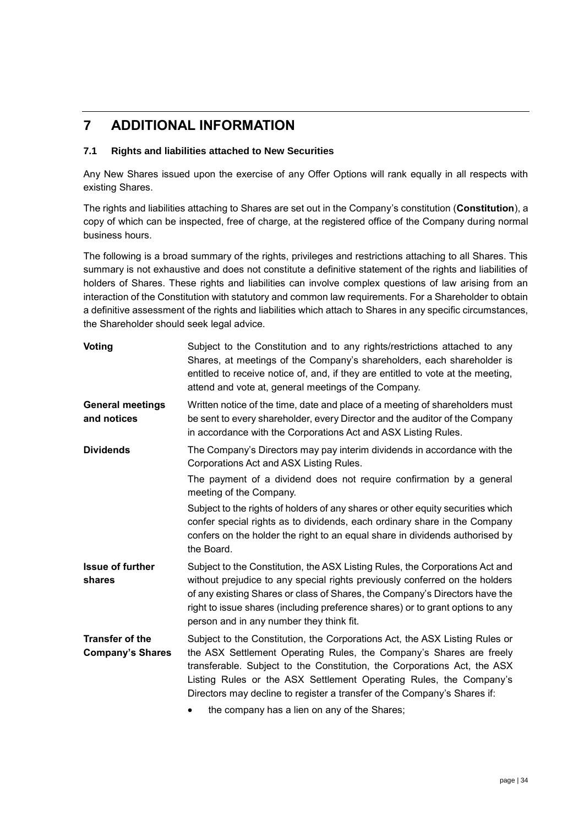### **7 ADDITIONAL INFORMATION**

#### <span id="page-33-0"></span>**7.1 Rights and liabilities attached to New Securities**

Any New Shares issued upon the exercise of any Offer Options will rank equally in all respects with existing Shares.

The rights and liabilities attaching to Shares are set out in the Company's constitution (**Constitution**), a copy of which can be inspected, free of charge, at the registered office of the Company during normal business hours.

The following is a broad summary of the rights, privileges and restrictions attaching to all Shares. This summary is not exhaustive and does not constitute a definitive statement of the rights and liabilities of holders of Shares. These rights and liabilities can involve complex questions of law arising from an interaction of the Constitution with statutory and common law requirements. For a Shareholder to obtain a definitive assessment of the rights and liabilities which attach to Shares in any specific circumstances, the Shareholder should seek legal advice.

| <b>Voting</b>                                     | Subject to the Constitution and to any rights/restrictions attached to any<br>Shares, at meetings of the Company's shareholders, each shareholder is<br>entitled to receive notice of, and, if they are entitled to vote at the meeting,<br>attend and vote at, general meetings of the Company.                                                                                 |
|---------------------------------------------------|----------------------------------------------------------------------------------------------------------------------------------------------------------------------------------------------------------------------------------------------------------------------------------------------------------------------------------------------------------------------------------|
| <b>General meetings</b><br>and notices            | Written notice of the time, date and place of a meeting of shareholders must<br>be sent to every shareholder, every Director and the auditor of the Company<br>in accordance with the Corporations Act and ASX Listing Rules.                                                                                                                                                    |
| <b>Dividends</b>                                  | The Company's Directors may pay interim dividends in accordance with the<br>Corporations Act and ASX Listing Rules.                                                                                                                                                                                                                                                              |
|                                                   | The payment of a dividend does not require confirmation by a general<br>meeting of the Company.                                                                                                                                                                                                                                                                                  |
|                                                   | Subject to the rights of holders of any shares or other equity securities which<br>confer special rights as to dividends, each ordinary share in the Company<br>confers on the holder the right to an equal share in dividends authorised by<br>the Board.                                                                                                                       |
| <b>Issue of further</b><br>shares                 | Subject to the Constitution, the ASX Listing Rules, the Corporations Act and<br>without prejudice to any special rights previously conferred on the holders<br>of any existing Shares or class of Shares, the Company's Directors have the<br>right to issue shares (including preference shares) or to grant options to any<br>person and in any number they think fit.         |
| <b>Transfer of the</b><br><b>Company's Shares</b> | Subject to the Constitution, the Corporations Act, the ASX Listing Rules or<br>the ASX Settlement Operating Rules, the Company's Shares are freely<br>transferable. Subject to the Constitution, the Corporations Act, the ASX<br>Listing Rules or the ASX Settlement Operating Rules, the Company's<br>Directors may decline to register a transfer of the Company's Shares if: |
|                                                   | the company has a lien on any of the Shares;                                                                                                                                                                                                                                                                                                                                     |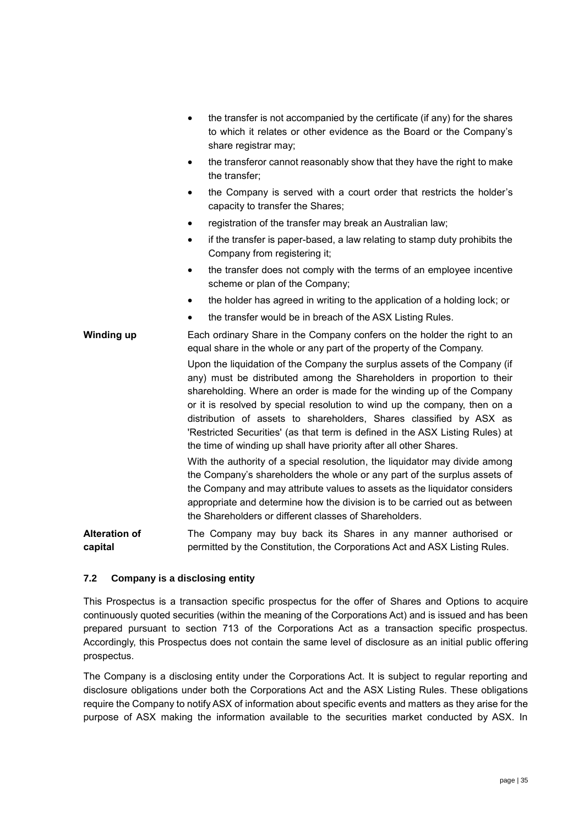- the transfer is not accompanied by the certificate (if any) for the shares to which it relates or other evidence as the Board or the Company's share registrar may;
- the transferor cannot reasonably show that they have the right to make the transfer;
- the Company is served with a court order that restricts the holder's capacity to transfer the Shares;
- registration of the transfer may break an Australian law;
- if the transfer is paper-based, a law relating to stamp duty prohibits the Company from registering it;
- the transfer does not comply with the terms of an employee incentive scheme or plan of the Company;
- the holder has agreed in writing to the application of a holding lock; or
- the transfer would be in breach of the ASX Listing Rules.

#### **Winding up** Each ordinary Share in the Company confers on the holder the right to an equal share in the whole or any part of the property of the Company.

Upon the liquidation of the Company the surplus assets of the Company (if any) must be distributed among the Shareholders in proportion to their shareholding. Where an order is made for the winding up of the Company or it is resolved by special resolution to wind up the company, then on a distribution of assets to shareholders, Shares classified by ASX as 'Restricted Securities' (as that term is defined in the ASX Listing Rules) at the time of winding up shall have priority after all other Shares.

With the authority of a special resolution, the liquidator may divide among the Company's shareholders the whole or any part of the surplus assets of the Company and may attribute values to assets as the liquidator considers appropriate and determine how the division is to be carried out as between the Shareholders or different classes of Shareholders.

**Alteration of capital** The Company may buy back its Shares in any manner authorised or permitted by the Constitution, the Corporations Act and ASX Listing Rules.

#### **7.2 Company is a disclosing entity**

This Prospectus is a transaction specific prospectus for the offer of Shares and Options to acquire continuously quoted securities (within the meaning of the Corporations Act) and is issued and has been prepared pursuant to section 713 of the Corporations Act as a transaction specific prospectus. Accordingly, this Prospectus does not contain the same level of disclosure as an initial public offering prospectus.

The Company is a disclosing entity under the Corporations Act. It is subject to regular reporting and disclosure obligations under both the Corporations Act and the ASX Listing Rules. These obligations require the Company to notify ASX of information about specific events and matters as they arise for the purpose of ASX making the information available to the securities market conducted by ASX. In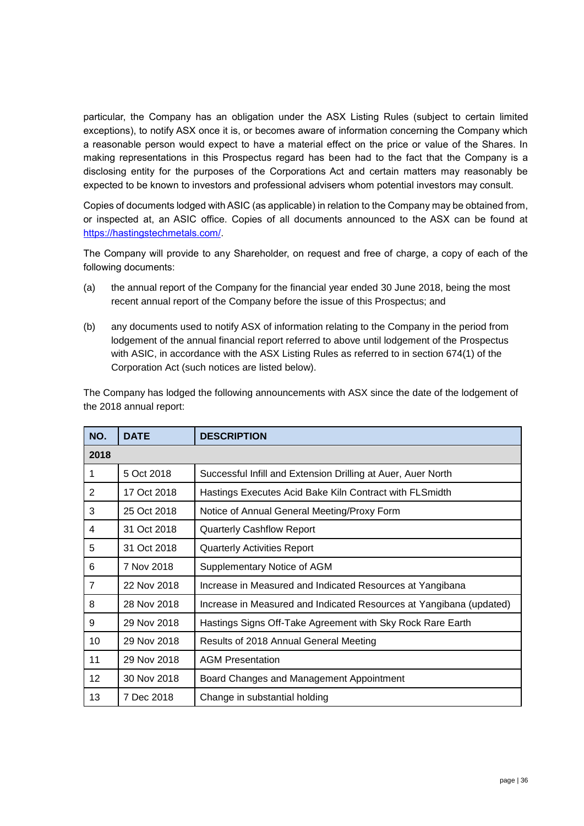particular, the Company has an obligation under the ASX Listing Rules (subject to certain limited exceptions), to notify ASX once it is, or becomes aware of information concerning the Company which a reasonable person would expect to have a material effect on the price or value of the Shares. In making representations in this Prospectus regard has been had to the fact that the Company is a disclosing entity for the purposes of the Corporations Act and certain matters may reasonably be expected to be known to investors and professional advisers whom potential investors may consult.

Copies of documents lodged with ASIC (as applicable) in relation to the Company may be obtained from, or inspected at, an ASIC office. Copies of all documents announced to the ASX can be found at [https://hastingstechmetals.com/.](https://hastingstechmetals.com/)

The Company will provide to any Shareholder, on request and free of charge, a copy of each of the following documents:

- (a) the annual report of the Company for the financial year ended 30 June 2018, being the most recent annual report of the Company before the issue of this Prospectus; and
- (b) any documents used to notify ASX of information relating to the Company in the period from lodgement of the annual financial report referred to above until lodgement of the Prospectus with ASIC, in accordance with the ASX Listing Rules as referred to in section 674(1) of the Corporation Act (such notices are listed below).

The Company has lodged the following announcements with ASX since the date of the lodgement of the 2018 annual report:

| NO.            | <b>DATE</b> | <b>DESCRIPTION</b>                                                  |
|----------------|-------------|---------------------------------------------------------------------|
| 2018           |             |                                                                     |
| 1              | 5 Oct 2018  | Successful Infill and Extension Drilling at Auer, Auer North        |
| 2              | 17 Oct 2018 | Hastings Executes Acid Bake Kiln Contract with FLSmidth             |
| 3              | 25 Oct 2018 | Notice of Annual General Meeting/Proxy Form                         |
| 4              | 31 Oct 2018 | <b>Quarterly Cashflow Report</b>                                    |
| 5              | 31 Oct 2018 | <b>Quarterly Activities Report</b>                                  |
| 6              | 7 Nov 2018  | Supplementary Notice of AGM                                         |
| $\overline{7}$ | 22 Nov 2018 | Increase in Measured and Indicated Resources at Yangibana           |
| 8              | 28 Nov 2018 | Increase in Measured and Indicated Resources at Yangibana (updated) |
| 9              | 29 Nov 2018 | Hastings Signs Off-Take Agreement with Sky Rock Rare Earth          |
| 10             | 29 Nov 2018 | Results of 2018 Annual General Meeting                              |
| 11             | 29 Nov 2018 | <b>AGM Presentation</b>                                             |
| 12             | 30 Nov 2018 | Board Changes and Management Appointment                            |
| 13             | 7 Dec 2018  | Change in substantial holding                                       |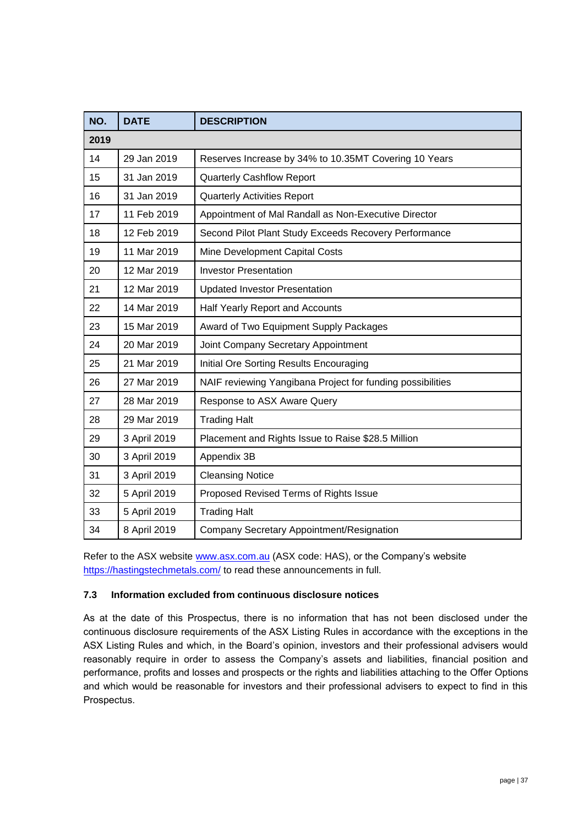| NO.  | <b>DATE</b>  | <b>DESCRIPTION</b>                                         |
|------|--------------|------------------------------------------------------------|
| 2019 |              |                                                            |
| 14   | 29 Jan 2019  | Reserves Increase by 34% to 10.35MT Covering 10 Years      |
| 15   | 31 Jan 2019  | <b>Quarterly Cashflow Report</b>                           |
| 16   | 31 Jan 2019  | <b>Quarterly Activities Report</b>                         |
| 17   | 11 Feb 2019  | Appointment of Mal Randall as Non-Executive Director       |
| 18   | 12 Feb 2019  | Second Pilot Plant Study Exceeds Recovery Performance      |
| 19   | 11 Mar 2019  | Mine Development Capital Costs                             |
| 20   | 12 Mar 2019  | <b>Investor Presentation</b>                               |
| 21   | 12 Mar 2019  | <b>Updated Investor Presentation</b>                       |
| 22   | 14 Mar 2019  | Half Yearly Report and Accounts                            |
| 23   | 15 Mar 2019  | Award of Two Equipment Supply Packages                     |
| 24   | 20 Mar 2019  | Joint Company Secretary Appointment                        |
| 25   | 21 Mar 2019  | Initial Ore Sorting Results Encouraging                    |
| 26   | 27 Mar 2019  | NAIF reviewing Yangibana Project for funding possibilities |
| 27   | 28 Mar 2019  | Response to ASX Aware Query                                |
| 28   | 29 Mar 2019  | <b>Trading Halt</b>                                        |
| 29   | 3 April 2019 | Placement and Rights Issue to Raise \$28.5 Million         |
| 30   | 3 April 2019 | Appendix 3B                                                |
| 31   | 3 April 2019 | <b>Cleansing Notice</b>                                    |
| 32   | 5 April 2019 | Proposed Revised Terms of Rights Issue                     |
| 33   | 5 April 2019 | <b>Trading Halt</b>                                        |
| 34   | 8 April 2019 | Company Secretary Appointment/Resignation                  |

Refer to the ASX website [www.asx.com.au](http://www.asx.com.au/) (ASX code: HAS), or the Company's website https://hastingstechmetals.com/ to read these announcements in full.

#### **7.3 Information excluded from continuous disclosure notices**

As at the date of this Prospectus, there is no information that has not been disclosed under the continuous disclosure requirements of the ASX Listing Rules in accordance with the exceptions in the ASX Listing Rules and which, in the Board's opinion, investors and their professional advisers would reasonably require in order to assess the Company's assets and liabilities, financial position and performance, profits and losses and prospects or the rights and liabilities attaching to the Offer Options and which would be reasonable for investors and their professional advisers to expect to find in this Prospectus.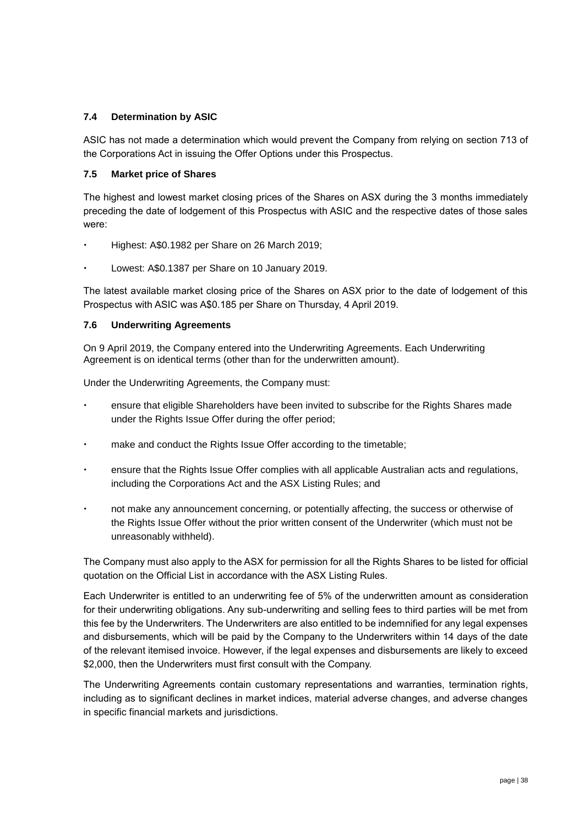#### **7.4 Determination by ASIC**

ASIC has not made a determination which would prevent the Company from relying on section 713 of the Corporations Act in issuing the Offer Options under this Prospectus.

#### **7.5 Market price of Shares**

The highest and lowest market closing prices of the Shares on ASX during the 3 months immediately preceding the date of lodgement of this Prospectus with ASIC and the respective dates of those sales were:

- Highest: A\$0.1982 per Share on 26 March 2019;
- Lowest: A\$0.1387 per Share on 10 January 2019.

The latest available market closing price of the Shares on ASX prior to the date of lodgement of this Prospectus with ASIC was A\$0.185 per Share on Thursday, 4 April 2019.

#### **7.6 Underwriting Agreements**

On 9 April 2019, the Company entered into the Underwriting Agreements. Each Underwriting Agreement is on identical terms (other than for the underwritten amount).

Under the Underwriting Agreements, the Company must:

- ensure that eligible Shareholders have been invited to subscribe for the Rights Shares made under the Rights Issue Offer during the offer period;
- make and conduct the Rights Issue Offer according to the timetable;
- ensure that the Rights Issue Offer complies with all applicable Australian acts and regulations, including the Corporations Act and the ASX Listing Rules; and
- not make any announcement concerning, or potentially affecting, the success or otherwise of the Rights Issue Offer without the prior written consent of the Underwriter (which must not be unreasonably withheld).

The Company must also apply to the ASX for permission for all the Rights Shares to be listed for official quotation on the Official List in accordance with the ASX Listing Rules.

Each Underwriter is entitled to an underwriting fee of 5% of the underwritten amount as consideration for their underwriting obligations. Any sub-underwriting and selling fees to third parties will be met from this fee by the Underwriters. The Underwriters are also entitled to be indemnified for any legal expenses and disbursements, which will be paid by the Company to the Underwriters within 14 days of the date of the relevant itemised invoice. However, if the legal expenses and disbursements are likely to exceed \$2,000, then the Underwriters must first consult with the Company.

The Underwriting Agreements contain customary representations and warranties, termination rights, including as to significant declines in market indices, material adverse changes, and adverse changes in specific financial markets and jurisdictions.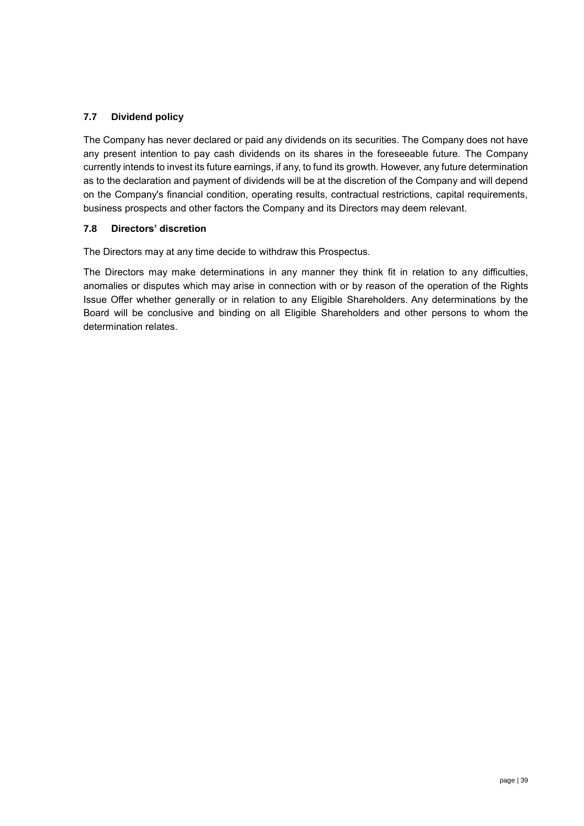#### **7.7 Dividend policy**

The Company has never declared or paid any dividends on its securities. The Company does not have any present intention to pay cash dividends on its shares in the foreseeable future. The Company currently intends to invest its future earnings, if any, to fund its growth. However, any future determination as to the declaration and payment of dividends will be at the discretion of the Company and will depend on the Company's financial condition, operating results, contractual restrictions, capital requirements, business prospects and other factors the Company and its Directors may deem relevant.

#### **7.8 Directors' discretion**

The Directors may at any time decide to withdraw this Prospectus.

The Directors may make determinations in any manner they think fit in relation to any difficulties, anomalies or disputes which may arise in connection with or by reason of the operation of the Rights Issue Offer whether generally or in relation to any Eligible Shareholders. Any determinations by the Board will be conclusive and binding on all Eligible Shareholders and other persons to whom the determination relates.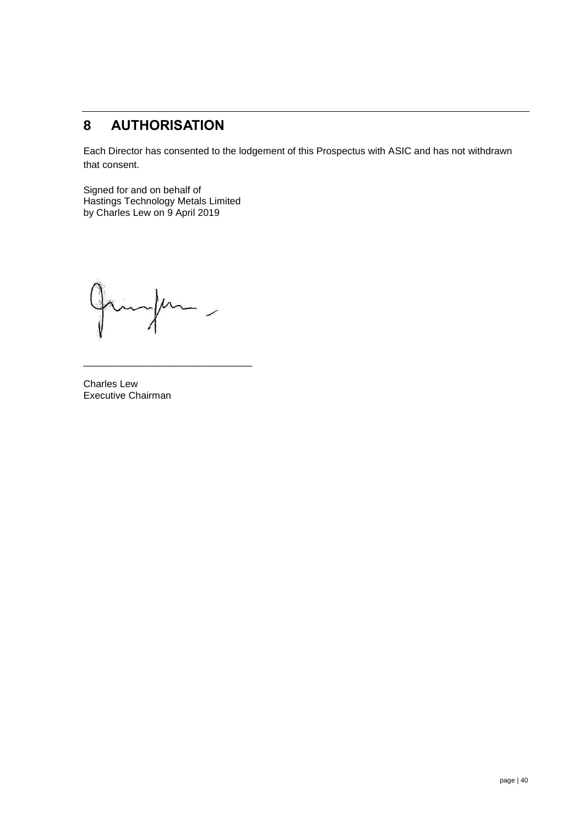### **8 AUTHORISATION**

Each Director has consented to the lodgement of this Prospectus with ASIC and has not withdrawn that consent.

Signed for and on behalf of Hastings Technology Metals Limited by Charles Lew on 9 April 2019

 $\mu$  $\overline{\phantom{a}}$ 

\_\_\_\_\_\_\_\_\_\_\_\_\_\_\_\_\_\_\_\_\_\_\_\_\_\_\_\_\_\_\_

Charles Lew Executive Chairman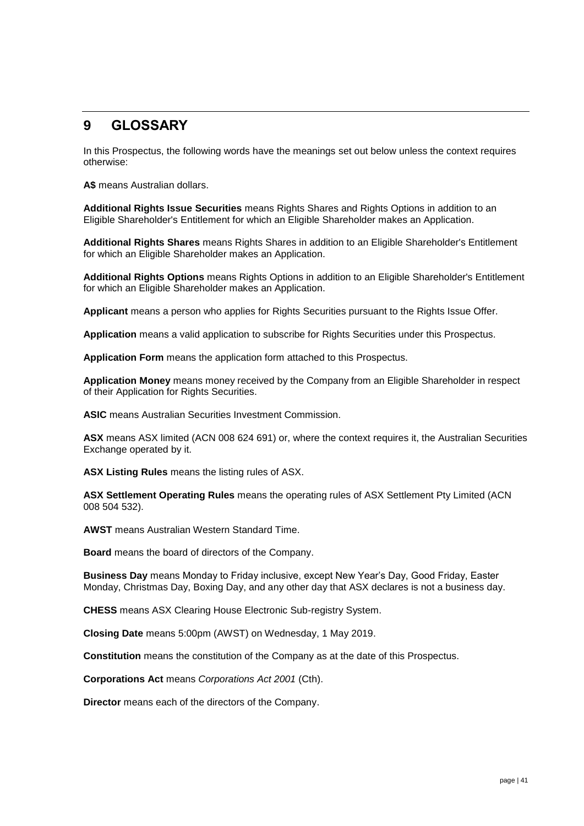### <span id="page-40-0"></span>**9 GLOSSARY**

In this Prospectus, the following words have the meanings set out below unless the context requires otherwise:

**A\$** means Australian dollars.

**Additional Rights Issue Securities** means Rights Shares and Rights Options in addition to an Eligible Shareholder's Entitlement for which an Eligible Shareholder makes an Application.

**Additional Rights Shares** means Rights Shares in addition to an Eligible Shareholder's Entitlement for which an Eligible Shareholder makes an Application.

**Additional Rights Options** means Rights Options in addition to an Eligible Shareholder's Entitlement for which an Eligible Shareholder makes an Application.

**Applicant** means a person who applies for Rights Securities pursuant to the Rights Issue Offer.

**Application** means a valid application to subscribe for Rights Securities under this Prospectus.

**Application Form** means the application form attached to this Prospectus.

**Application Money** means money received by the Company from an Eligible Shareholder in respect of their Application for Rights Securities.

**ASIC** means Australian Securities Investment Commission.

**ASX** means ASX limited (ACN 008 624 691) or, where the context requires it, the Australian Securities Exchange operated by it.

**ASX Listing Rules** means the listing rules of ASX.

**ASX Settlement Operating Rules** means the operating rules of ASX Settlement Pty Limited (ACN 008 504 532).

**AWST** means Australian Western Standard Time.

**Board** means the board of directors of the Company.

**Business Day** means Monday to Friday inclusive, except New Year's Day, Good Friday, Easter Monday, Christmas Day, Boxing Day, and any other day that ASX declares is not a business day.

**CHESS** means ASX Clearing House Electronic Sub-registry System.

**Closing Date** means 5:00pm (AWST) on Wednesday, 1 May 2019.

**Constitution** means the constitution of the Company as at the date of this Prospectus.

**Corporations Act** means *Corporations Act 2001* (Cth).

**Director** means each of the directors of the Company.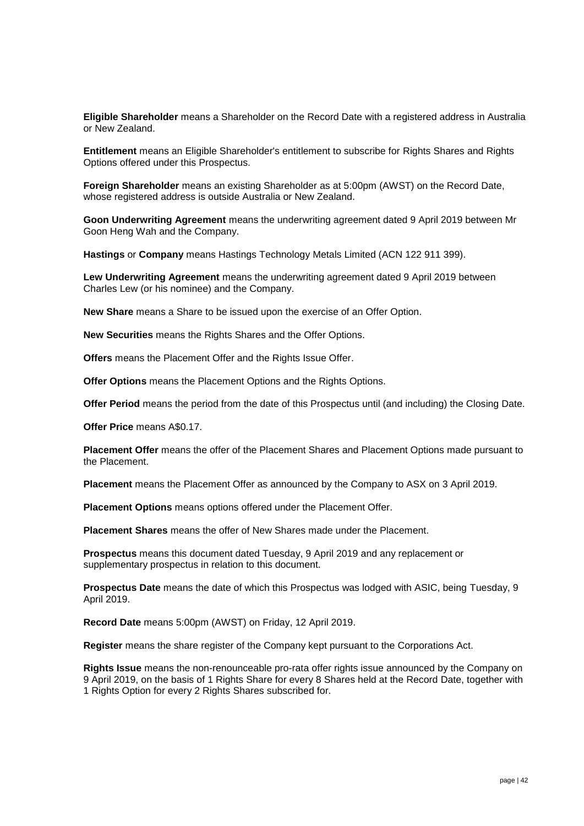**Eligible Shareholder** means a Shareholder on the Record Date with a registered address in Australia or New Zealand.

**Entitlement** means an Eligible Shareholder's entitlement to subscribe for Rights Shares and Rights Options offered under this Prospectus.

**Foreign Shareholder** means an existing Shareholder as at 5:00pm (AWST) on the Record Date, whose registered address is outside Australia or New Zealand.

**Goon Underwriting Agreement** means the underwriting agreement dated 9 April 2019 between Mr Goon Heng Wah and the Company.

**Hastings** or **Company** means Hastings Technology Metals Limited (ACN 122 911 399).

**Lew Underwriting Agreement** means the underwriting agreement dated 9 April 2019 between Charles Lew (or his nominee) and the Company.

**New Share** means a Share to be issued upon the exercise of an Offer Option.

**New Securities** means the Rights Shares and the Offer Options.

**Offers** means the Placement Offer and the Rights Issue Offer.

**Offer Options** means the Placement Options and the Rights Options.

**Offer Period** means the period from the date of this Prospectus until (and including) the Closing Date.

**Offer Price** means A\$0.17.

**Placement Offer** means the offer of the Placement Shares and Placement Options made pursuant to the Placement.

**Placement** means the Placement Offer as announced by the Company to ASX on 3 April 2019.

**Placement Options** means options offered under the Placement Offer.

**Placement Shares** means the offer of New Shares made under the Placement.

**Prospectus** means this document dated Tuesday, 9 April 2019 and any replacement or supplementary prospectus in relation to this document.

**Prospectus Date** means the date of which this Prospectus was lodged with ASIC, being Tuesday, 9 April 2019.

**Record Date** means 5:00pm (AWST) on Friday, 12 April 2019.

**Register** means the share register of the Company kept pursuant to the Corporations Act.

**Rights Issue** means the non-renounceable pro-rata offer rights issue announced by the Company on 9 April 2019, on the basis of 1 Rights Share for every 8 Shares held at the Record Date, together with 1 Rights Option for every 2 Rights Shares subscribed for.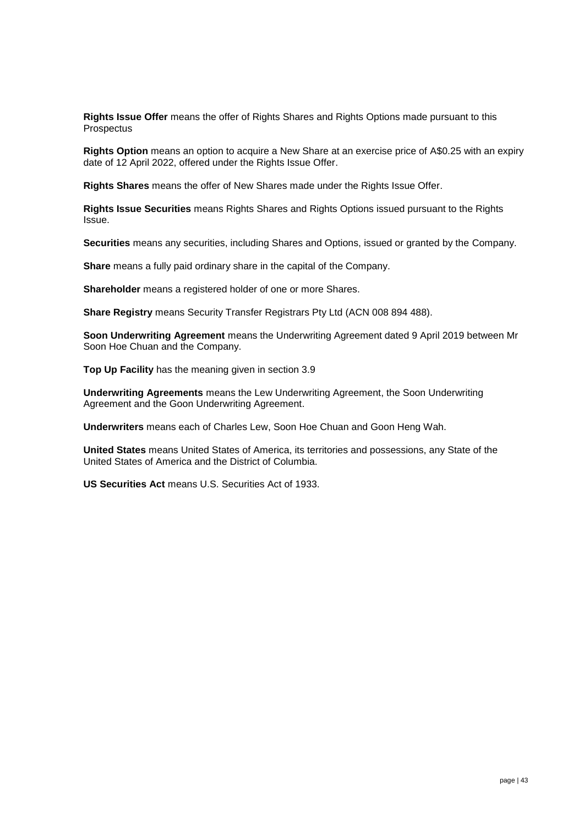**Rights Issue Offer** means the offer of Rights Shares and Rights Options made pursuant to this **Prospectus** 

**Rights Option** means an option to acquire a New Share at an exercise price of A\$0.25 with an expiry date of 12 April 2022, offered under the Rights Issue Offer.

**Rights Shares** means the offer of New Shares made under the Rights Issue Offer.

**Rights Issue Securities** means Rights Shares and Rights Options issued pursuant to the Rights Issue.

**Securities** means any securities, including Shares and Options, issued or granted by the Company.

**Share** means a fully paid ordinary share in the capital of the Company.

**Shareholder** means a registered holder of one or more Shares.

**Share Registry** means Security Transfer Registrars Pty Ltd (ACN 008 894 488).

**Soon Underwriting Agreement** means the Underwriting Agreement dated 9 April 2019 between Mr Soon Hoe Chuan and the Company.

**Top Up Facility** has the meaning given in section 3.9

**Underwriting Agreements** means the Lew Underwriting Agreement, the Soon Underwriting Agreement and the Goon Underwriting Agreement.

**Underwriters** means each of Charles Lew, Soon Hoe Chuan and Goon Heng Wah.

**United States** means United States of America, its territories and possessions, any State of the United States of America and the District of Columbia.

**US Securities Act** means U.S. Securities Act of 1933.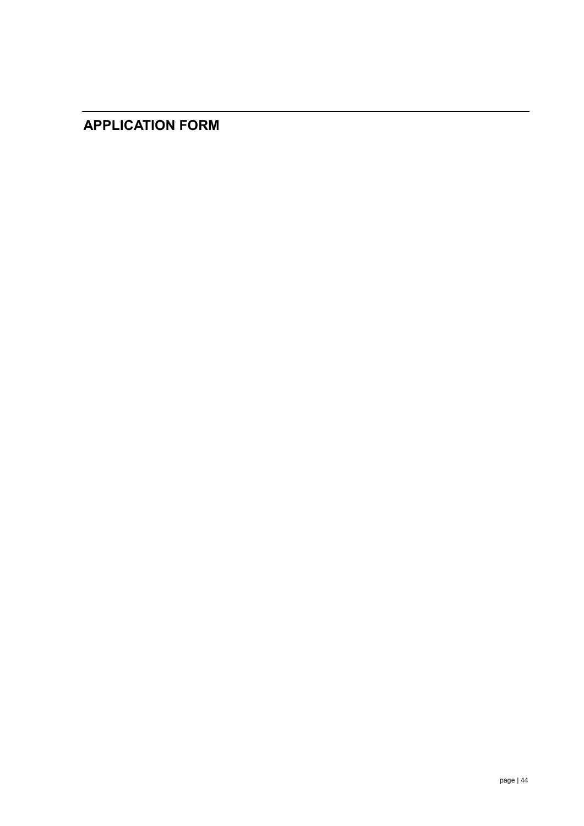### **APPLICATION FORM**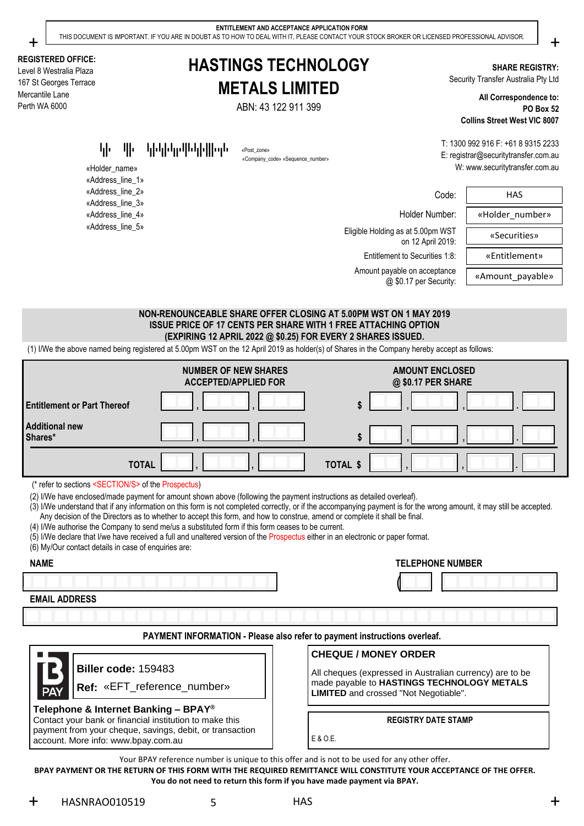+  $\Box$  THIS DOCUMENT IS IMPORTANT. IF YOU ARE IN DOUBT AS TO HOW TO DEAL WITH IT, PLEASE CONTACT YOUR STOCK BROKER OR LICENSED PROFESSIONAL ADVISOR. ● →

**REGISTERED OFFICE:** Level 8 Westralia Plaza 167 St Georges Terrace Mercantile Lane Perth WA 6000

**HASTINGS TECHNOLOGY METALS LIMITED**

ABN: 43 122 911 399

«Company\_code» «Sequence\_number»

**SHARE REGISTRY:** Security Transfer Australia Pty Ltd

**All Correspondence to: PO Box 52 Collins Street West VIC 8007**

T: 1300 992 916 F: +61 8 9315 2233 E: registrar@securitytransfer.com.au W: www.securitytransfer.com.au

«Post\_Barcode»«Post\_zone»

«Holder\_name» «Address\_line\_1» «Address\_line\_2» «Address\_line\_3» «Address\_line\_4» «Address\_line\_5»

Eligible Holding as at 5.00pm WST  $\overline{ }$  (Securities» on 12 April 2019: Entitlement to Securities 1:8: | «Entitlement»

Amount payable on acceptance<br>
Amount payable» Amount payable @ \$0.17 per Security:

Code: HAS Holder Number: «Holder\_number»

**NON-RENOUNCEABLE SHARE OFFER CLOSING AT 5.00PM WST ON 1 MAY 2019 ISSUE PRICE OF 17 CENTS PER SHARE WITH 1 FREE ATTACHING OPTION (EXPIRING 12 APRIL 2022 @ \$0.25) FOR EVERY 2 SHARES ISSUED.**

(1) I/We the above named being registered at 5.00pm WST on the 12 April 2019 as holder(s) of Shares in the Company hereby accept as follows:

|                                    | <b>NUMBER OF NEW SHARES</b><br><b>ACCEPTED/APPLIED FOR</b> | <b>AMOUNT ENCLOSED</b><br>@ \$0.17 PER SHARE |
|------------------------------------|------------------------------------------------------------|----------------------------------------------|
| <b>Entitlement or Part Thereof</b> |                                                            | æ                                            |
| <b>Additional new</b><br>Shares*   |                                                            | œ<br>ъ                                       |
|                                    | <b>TOTAL</b>                                               | <b>TOTAL \$</b>                              |

(\* refer to sections <SECTION/S> of the Prospectus)

(2) I/We have enclosed/made payment for amount shown above (following the payment instructions as detailed overleaf).

(3) I/We understand that if any information on this form is not completed correctly, or if the accompanying payment is for the wrong amount, it may still be accepted.

Any decision of the Directors as to whether to accept this form, and how to construe, amend or complete it shall be final.

(4) I/We authorise the Company to send me/us a substituted form if this form ceases to be current.

(5) I/We declare that I/we have received a full and unaltered version of the Prospectus either in an electronic or paper format.

(6) My/Our contact details in case of enquiries are:

( )

**NAME TELEPHONE NUMBER**

**EMAIL ADDRESS**

**PAYMENT INFORMATION - Please also refer to payment instructions overleaf.**



### **CHEQUE / MONEY ORDER**

All cheques (expressed in Australian currency) are to be made payable to **HASTINGS TECHNOLOGY METALS LIMITED** and crossed "Not Negotiable".

**Telephone & Internet Banking – BPAY®**

Contact your bank or financial institution to make this payment from your cheque, savings, debit, or transaction account. More info: www.bpay.com.au

**REGISTRY DATE STAMP**

Your BPAY reference number is unique to this offer and is not to be used for any other offer.

E & O.E.

**BPAY PAYMENT OR THE RETURN OF THIS FORM WITH THE REQUIRED REMITTANCE WILL CONSTITUTE YOUR ACCEPTANCE OF THE OFFER. You do not need to return this form if you have made payment via BPAY.**

 $+$  HASNRAO010519 5 HAS HASNRAO010519 5 HAS